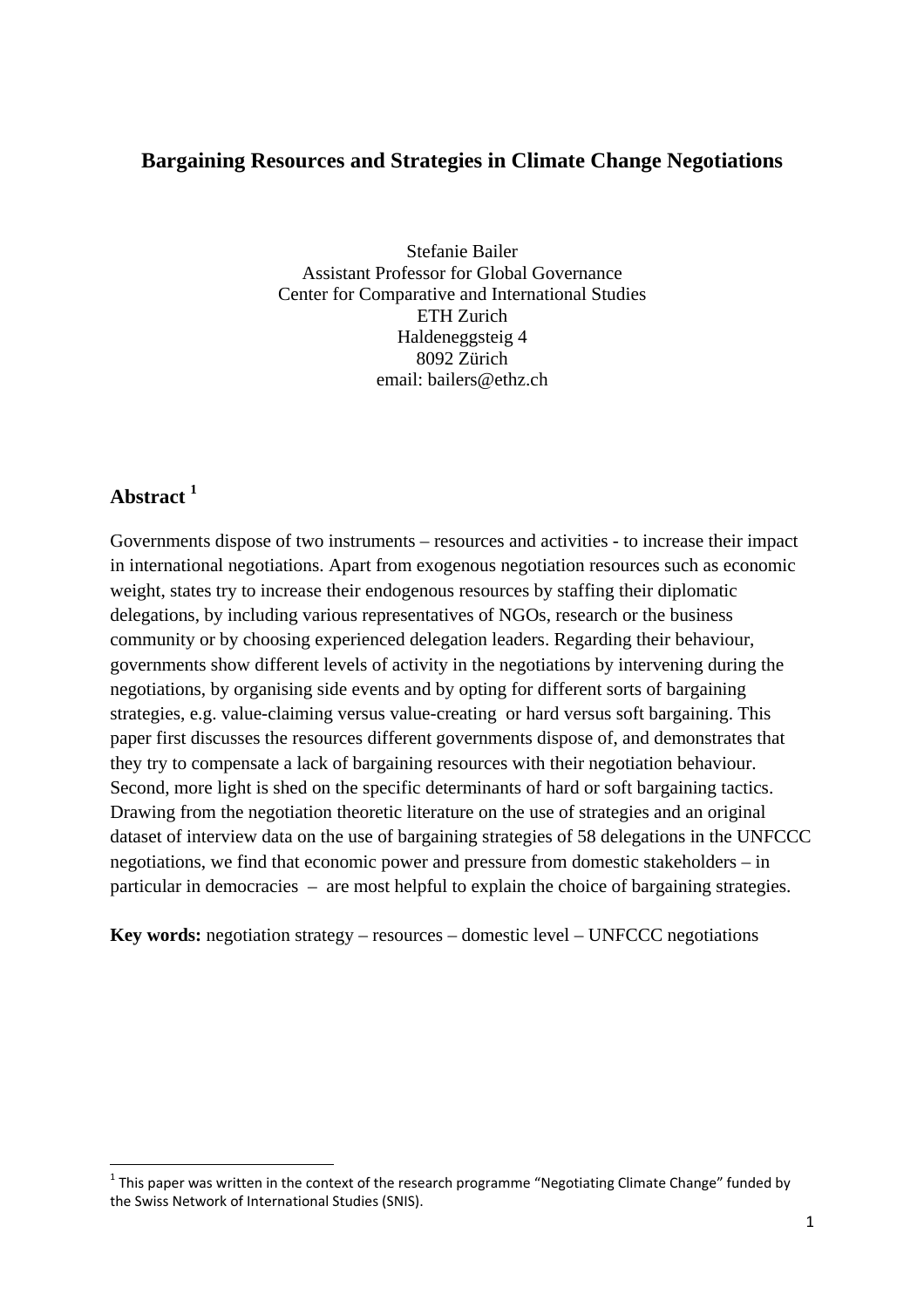# **Bargaining Resources and Strategies in Climate Change Negotiations**

Stefanie Bailer Assistant Professor for Global Governance Center for Comparative and International Studies ETH Zurich Haldeneggsteig 4 8092 Zürich email: bailers@ethz.ch

# **Abstract 1**

Governments dispose of two instruments – resources and activities - to increase their impact in international negotiations. Apart from exogenous negotiation resources such as economic weight, states try to increase their endogenous resources by staffing their diplomatic delegations, by including various representatives of NGOs, research or the business community or by choosing experienced delegation leaders. Regarding their behaviour, governments show different levels of activity in the negotiations by intervening during the negotiations, by organising side events and by opting for different sorts of bargaining strategies, e.g. value-claiming versus value-creating or hard versus soft bargaining. This paper first discusses the resources different governments dispose of, and demonstrates that they try to compensate a lack of bargaining resources with their negotiation behaviour. Second, more light is shed on the specific determinants of hard or soft bargaining tactics. Drawing from the negotiation theoretic literature on the use of strategies and an original dataset of interview data on the use of bargaining strategies of 58 delegations in the UNFCCC negotiations, we find that economic power and pressure from domestic stakeholders – in particular in democracies – are most helpful to explain the choice of bargaining strategies.

**Key words:** negotiation strategy – resources – domestic level – UNFCCC negotiations

 $1$  This paper was written in the context of the research programme "Negotiating Climate Change" funded by the Swiss Network of International Studies (SNIS).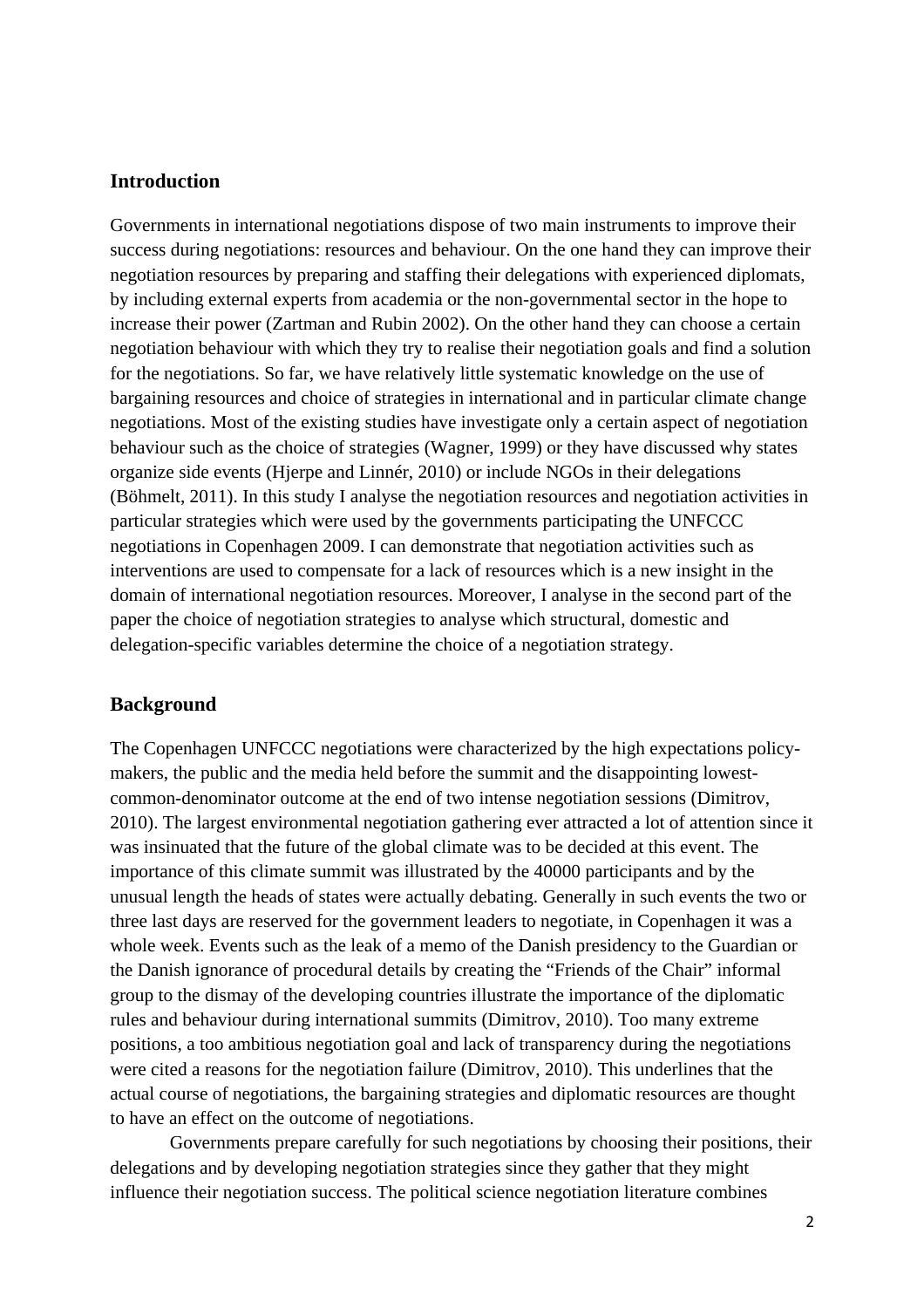### **Introduction**

Governments in international negotiations dispose of two main instruments to improve their success during negotiations: resources and behaviour. On the one hand they can improve their negotiation resources by preparing and staffing their delegations with experienced diplomats, by including external experts from academia or the non-governmental sector in the hope to increase their power (Zartman and Rubin 2002). On the other hand they can choose a certain negotiation behaviour with which they try to realise their negotiation goals and find a solution for the negotiations. So far, we have relatively little systematic knowledge on the use of bargaining resources and choice of strategies in international and in particular climate change negotiations. Most of the existing studies have investigate only a certain aspect of negotiation behaviour such as the choice of strategies (Wagner, 1999) or they have discussed why states organize side events (Hjerpe and Linnér, 2010) or include NGOs in their delegations (Böhmelt, 2011). In this study I analyse the negotiation resources and negotiation activities in particular strategies which were used by the governments participating the UNFCCC negotiations in Copenhagen 2009. I can demonstrate that negotiation activities such as interventions are used to compensate for a lack of resources which is a new insight in the domain of international negotiation resources. Moreover, I analyse in the second part of the paper the choice of negotiation strategies to analyse which structural, domestic and delegation-specific variables determine the choice of a negotiation strategy.

### **Background**

The Copenhagen UNFCCC negotiations were characterized by the high expectations policymakers, the public and the media held before the summit and the disappointing lowestcommon-denominator outcome at the end of two intense negotiation sessions (Dimitrov, 2010). The largest environmental negotiation gathering ever attracted a lot of attention since it was insinuated that the future of the global climate was to be decided at this event. The importance of this climate summit was illustrated by the 40000 participants and by the unusual length the heads of states were actually debating. Generally in such events the two or three last days are reserved for the government leaders to negotiate, in Copenhagen it was a whole week. Events such as the leak of a memo of the Danish presidency to the Guardian or the Danish ignorance of procedural details by creating the "Friends of the Chair" informal group to the dismay of the developing countries illustrate the importance of the diplomatic rules and behaviour during international summits (Dimitrov, 2010). Too many extreme positions, a too ambitious negotiation goal and lack of transparency during the negotiations were cited a reasons for the negotiation failure (Dimitrov, 2010). This underlines that the actual course of negotiations, the bargaining strategies and diplomatic resources are thought to have an effect on the outcome of negotiations.

 Governments prepare carefully for such negotiations by choosing their positions, their delegations and by developing negotiation strategies since they gather that they might influence their negotiation success. The political science negotiation literature combines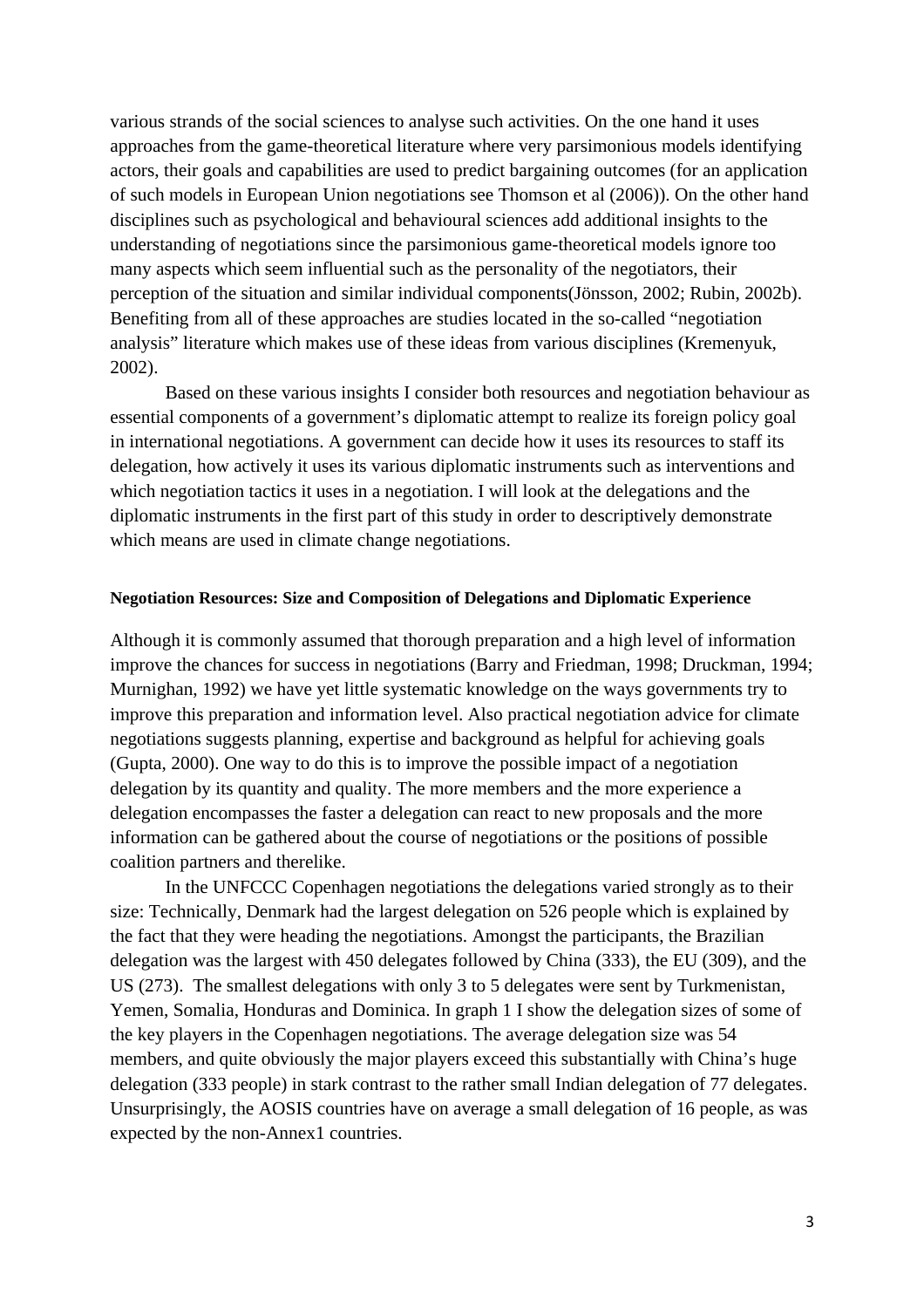various strands of the social sciences to analyse such activities. On the one hand it uses approaches from the game-theoretical literature where very parsimonious models identifying actors, their goals and capabilities are used to predict bargaining outcomes (for an application of such models in European Union negotiations see Thomson et al (2006)). On the other hand disciplines such as psychological and behavioural sciences add additional insights to the understanding of negotiations since the parsimonious game-theoretical models ignore too many aspects which seem influential such as the personality of the negotiators, their perception of the situation and similar individual components(Jönsson, 2002; Rubin, 2002b). Benefiting from all of these approaches are studies located in the so-called "negotiation analysis" literature which makes use of these ideas from various disciplines (Kremenyuk, 2002).

Based on these various insights I consider both resources and negotiation behaviour as essential components of a government's diplomatic attempt to realize its foreign policy goal in international negotiations. A government can decide how it uses its resources to staff its delegation, how actively it uses its various diplomatic instruments such as interventions and which negotiation tactics it uses in a negotiation. I will look at the delegations and the diplomatic instruments in the first part of this study in order to descriptively demonstrate which means are used in climate change negotiations.

#### **Negotiation Resources: Size and Composition of Delegations and Diplomatic Experience**

Although it is commonly assumed that thorough preparation and a high level of information improve the chances for success in negotiations (Barry and Friedman, 1998; Druckman, 1994; Murnighan, 1992) we have yet little systematic knowledge on the ways governments try to improve this preparation and information level. Also practical negotiation advice for climate negotiations suggests planning, expertise and background as helpful for achieving goals (Gupta, 2000). One way to do this is to improve the possible impact of a negotiation delegation by its quantity and quality. The more members and the more experience a delegation encompasses the faster a delegation can react to new proposals and the more information can be gathered about the course of negotiations or the positions of possible coalition partners and therelike.

In the UNFCCC Copenhagen negotiations the delegations varied strongly as to their size: Technically, Denmark had the largest delegation on 526 people which is explained by the fact that they were heading the negotiations. Amongst the participants, the Brazilian delegation was the largest with 450 delegates followed by China (333), the EU (309), and the US (273). The smallest delegations with only 3 to 5 delegates were sent by Turkmenistan, Yemen, Somalia, Honduras and Dominica. In graph 1 I show the delegation sizes of some of the key players in the Copenhagen negotiations. The average delegation size was 54 members, and quite obviously the major players exceed this substantially with China's huge delegation (333 people) in stark contrast to the rather small Indian delegation of 77 delegates. Unsurprisingly, the AOSIS countries have on average a small delegation of 16 people, as was expected by the non-Annex1 countries.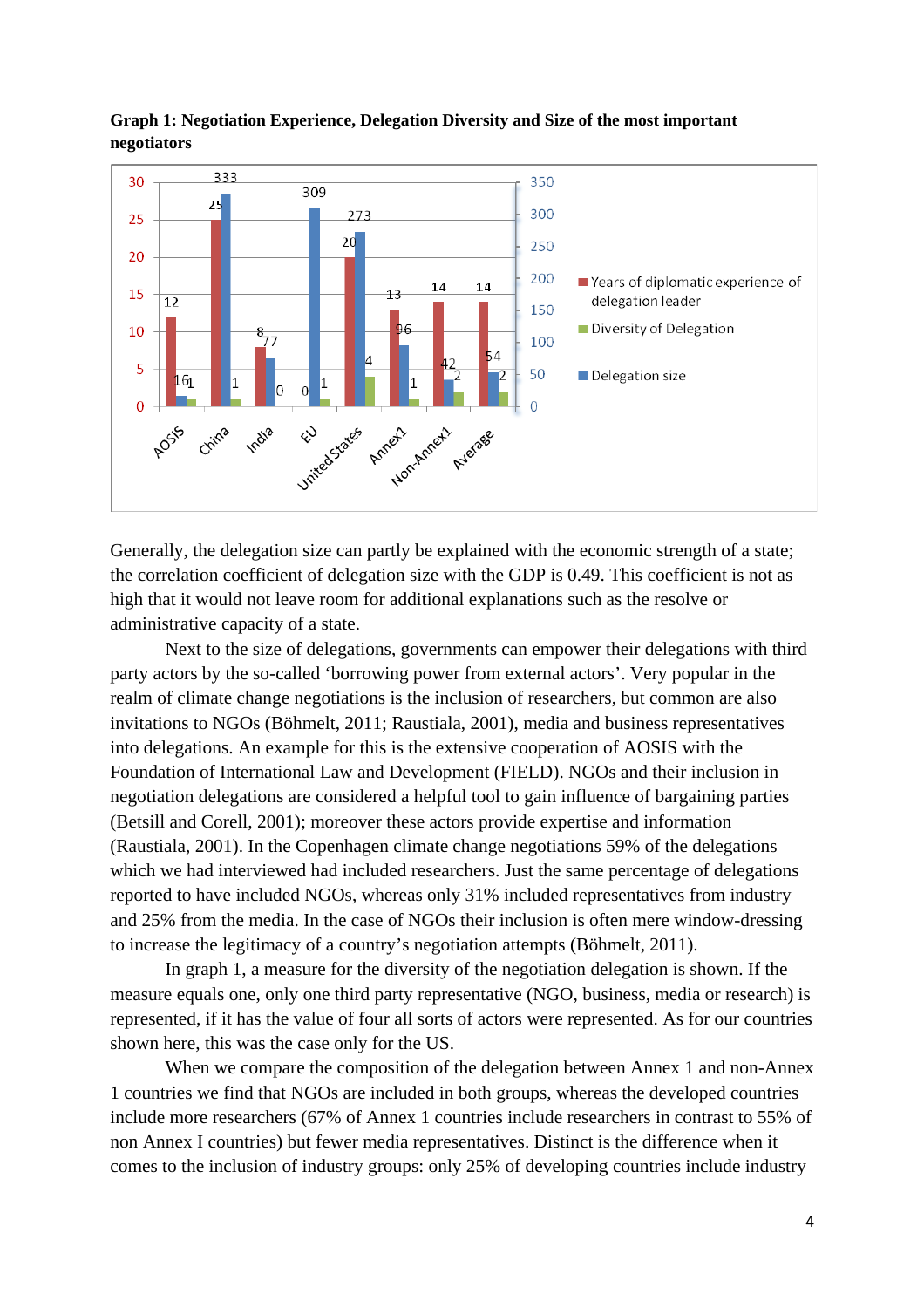

**Graph 1: Negotiation Experience, Delegation Diversity and Size of the most important negotiators** 

Generally, the delegation size can partly be explained with the economic strength of a state; the correlation coefficient of delegation size with the GDP is 0.49. This coefficient is not as high that it would not leave room for additional explanations such as the resolve or administrative capacity of a state.

Next to the size of delegations, governments can empower their delegations with third party actors by the so-called 'borrowing power from external actors'. Very popular in the realm of climate change negotiations is the inclusion of researchers, but common are also invitations to NGOs (Böhmelt, 2011; Raustiala, 2001), media and business representatives into delegations. An example for this is the extensive cooperation of AOSIS with the Foundation of International Law and Development (FIELD). NGOs and their inclusion in negotiation delegations are considered a helpful tool to gain influence of bargaining parties (Betsill and Corell, 2001); moreover these actors provide expertise and information (Raustiala, 2001). In the Copenhagen climate change negotiations 59% of the delegations which we had interviewed had included researchers. Just the same percentage of delegations reported to have included NGOs, whereas only 31% included representatives from industry and 25% from the media. In the case of NGOs their inclusion is often mere window-dressing to increase the legitimacy of a country's negotiation attempts (Böhmelt, 2011).

In graph 1, a measure for the diversity of the negotiation delegation is shown. If the measure equals one, only one third party representative (NGO, business, media or research) is represented, if it has the value of four all sorts of actors were represented. As for our countries shown here, this was the case only for the US.

When we compare the composition of the delegation between Annex 1 and non-Annex 1 countries we find that NGOs are included in both groups, whereas the developed countries include more researchers (67% of Annex 1 countries include researchers in contrast to 55% of non Annex I countries) but fewer media representatives. Distinct is the difference when it comes to the inclusion of industry groups: only 25% of developing countries include industry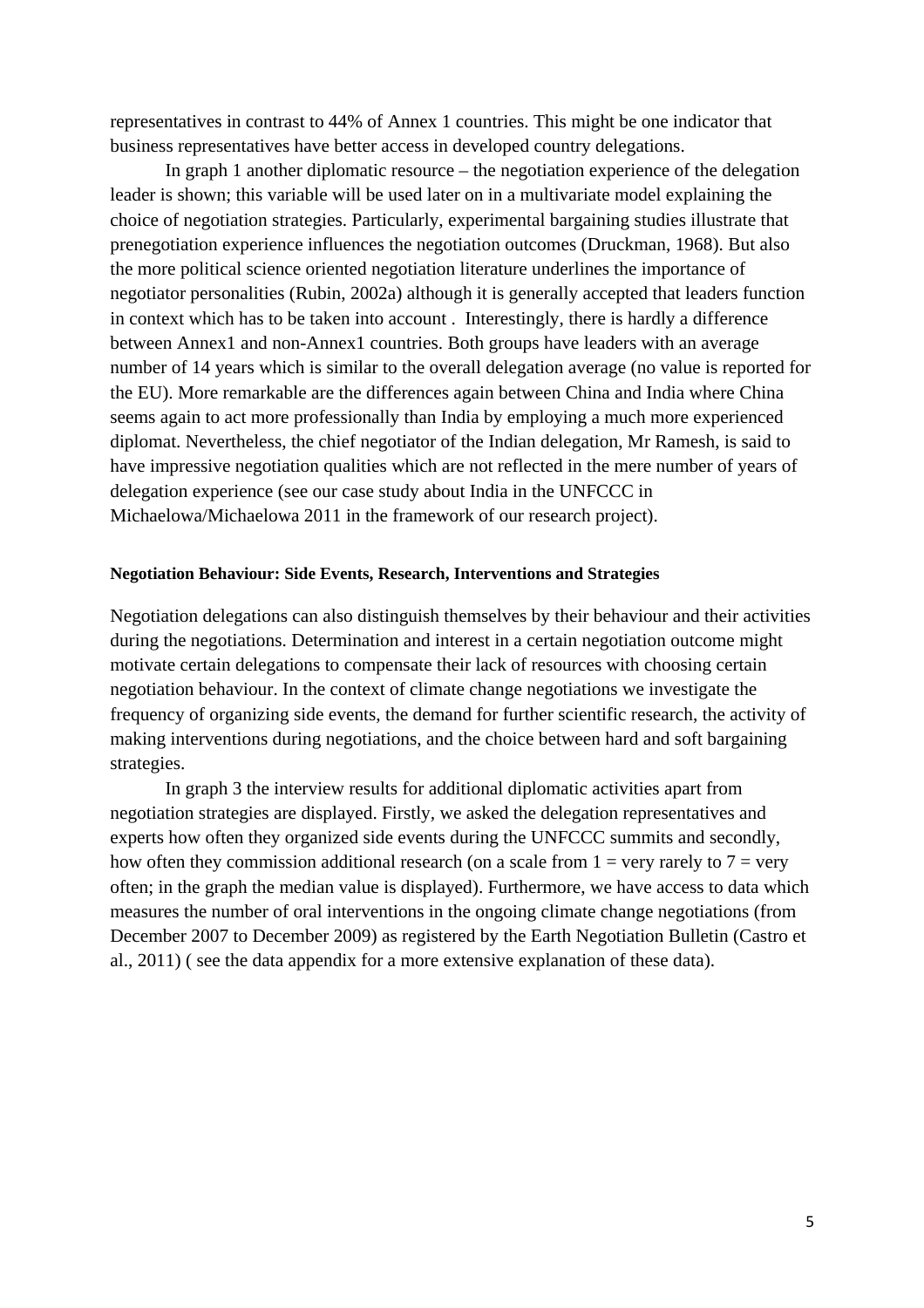representatives in contrast to 44% of Annex 1 countries. This might be one indicator that business representatives have better access in developed country delegations.

In graph 1 another diplomatic resource – the negotiation experience of the delegation leader is shown; this variable will be used later on in a multivariate model explaining the choice of negotiation strategies. Particularly, experimental bargaining studies illustrate that prenegotiation experience influences the negotiation outcomes (Druckman, 1968). But also the more political science oriented negotiation literature underlines the importance of negotiator personalities (Rubin, 2002a) although it is generally accepted that leaders function in context which has to be taken into account . Interestingly, there is hardly a difference between Annex1 and non-Annex1 countries. Both groups have leaders with an average number of 14 years which is similar to the overall delegation average (no value is reported for the EU). More remarkable are the differences again between China and India where China seems again to act more professionally than India by employing a much more experienced diplomat. Nevertheless, the chief negotiator of the Indian delegation, Mr Ramesh, is said to have impressive negotiation qualities which are not reflected in the mere number of years of delegation experience (see our case study about India in the UNFCCC in Michaelowa/Michaelowa 2011 in the framework of our research project).

#### **Negotiation Behaviour: Side Events, Research, Interventions and Strategies**

Negotiation delegations can also distinguish themselves by their behaviour and their activities during the negotiations. Determination and interest in a certain negotiation outcome might motivate certain delegations to compensate their lack of resources with choosing certain negotiation behaviour. In the context of climate change negotiations we investigate the frequency of organizing side events, the demand for further scientific research, the activity of making interventions during negotiations, and the choice between hard and soft bargaining strategies.

In graph 3 the interview results for additional diplomatic activities apart from negotiation strategies are displayed. Firstly*,* we asked the delegation representatives and experts how often they organized side events during the UNFCCC summits and secondly, how often they commission additional research (on a scale from  $1 = \text{very rarely to } 7 = \text{very}$ ) often; in the graph the median value is displayed). Furthermore, we have access to data which measures the number of oral interventions in the ongoing climate change negotiations (from December 2007 to December 2009) as registered by the Earth Negotiation Bulletin (Castro et al., 2011) ( see the data appendix for a more extensive explanation of these data).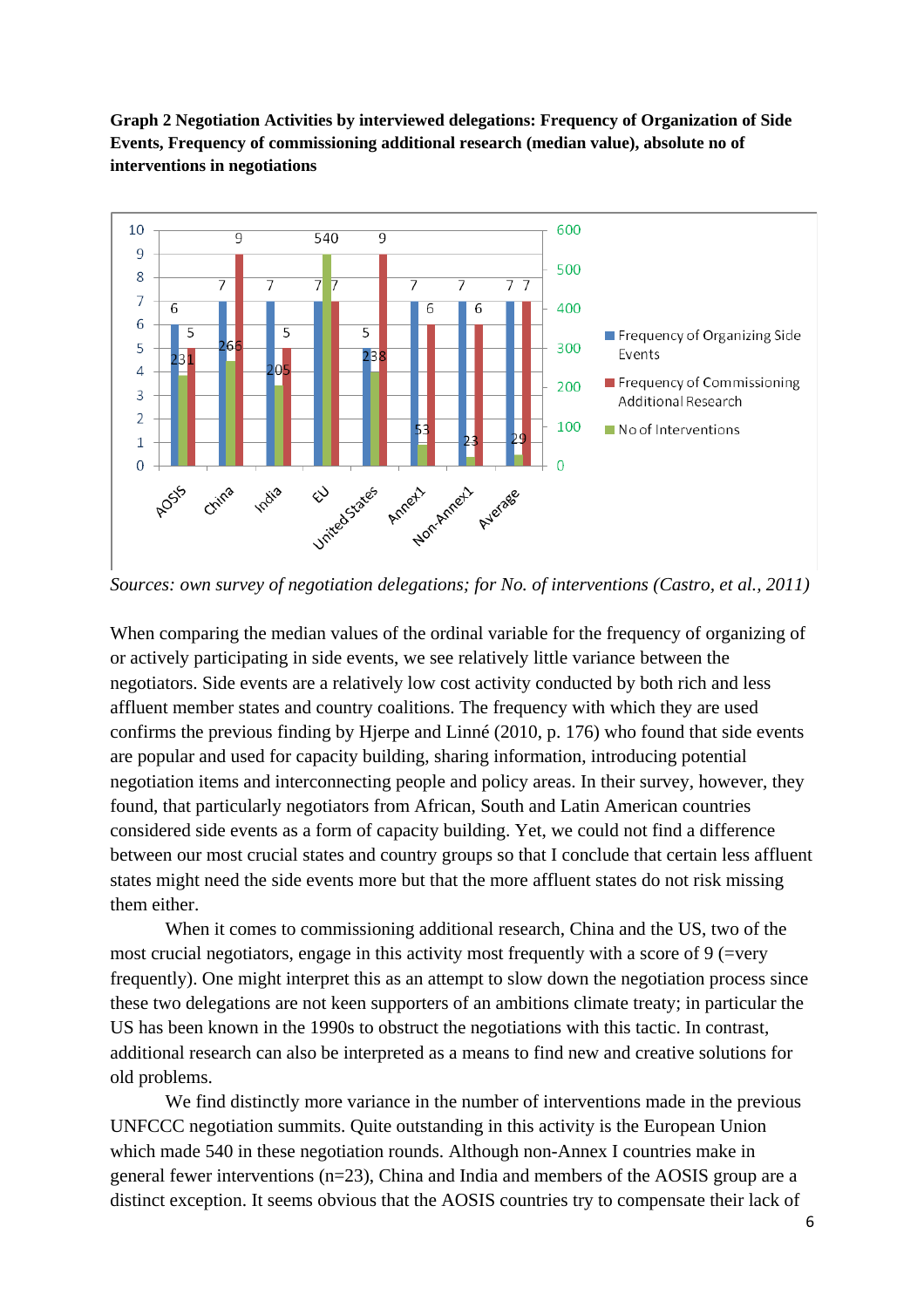



*Sources: own survey of negotiation delegations; for No. of interventions (Castro, et al., 2011)* 

When comparing the median values of the ordinal variable for the frequency of organizing of or actively participating in side events, we see relatively little variance between the negotiators. Side events are a relatively low cost activity conducted by both rich and less affluent member states and country coalitions. The frequency with which they are used confirms the previous finding by Hjerpe and Linné (2010, p. 176) who found that side events are popular and used for capacity building, sharing information, introducing potential negotiation items and interconnecting people and policy areas. In their survey, however, they found, that particularly negotiators from African, South and Latin American countries considered side events as a form of capacity building. Yet, we could not find a difference between our most crucial states and country groups so that I conclude that certain less affluent states might need the side events more but that the more affluent states do not risk missing them either.

When it comes to commissioning additional research, China and the US, two of the most crucial negotiators, engage in this activity most frequently with a score of 9 (=very frequently). One might interpret this as an attempt to slow down the negotiation process since these two delegations are not keen supporters of an ambitions climate treaty; in particular the US has been known in the 1990s to obstruct the negotiations with this tactic. In contrast, additional research can also be interpreted as a means to find new and creative solutions for old problems.

We find distinctly more variance in the number of interventions made in the previous UNFCCC negotiation summits. Quite outstanding in this activity is the European Union which made 540 in these negotiation rounds. Although non-Annex I countries make in general fewer interventions (n=23), China and India and members of the AOSIS group are a distinct exception. It seems obvious that the AOSIS countries try to compensate their lack of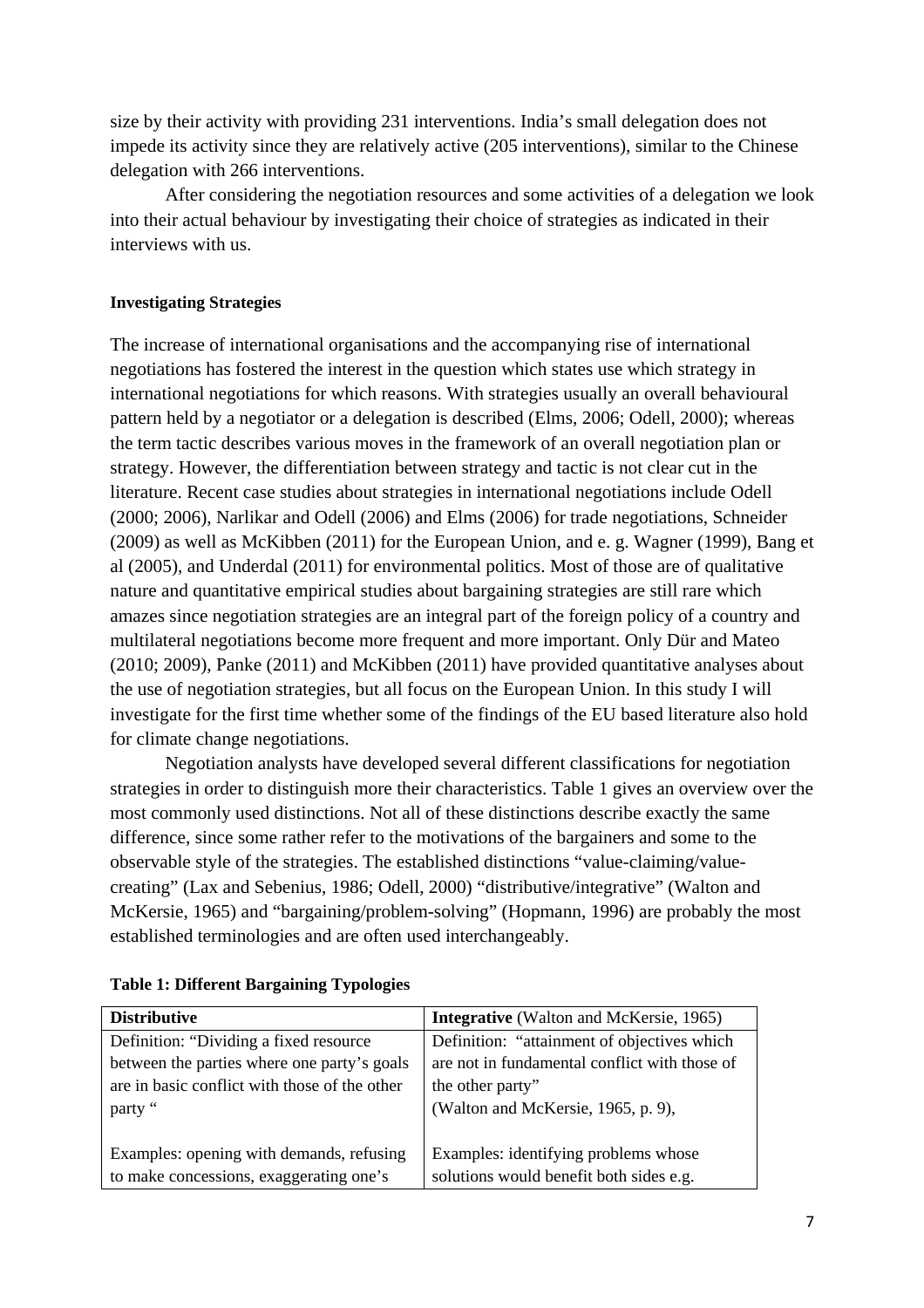size by their activity with providing 231 interventions. India's small delegation does not impede its activity since they are relatively active (205 interventions), similar to the Chinese delegation with 266 interventions.

After considering the negotiation resources and some activities of a delegation we look into their actual behaviour by investigating their choice of strategies as indicated in their interviews with us.

# **Investigating Strategies**

The increase of international organisations and the accompanying rise of international negotiations has fostered the interest in the question which states use which strategy in international negotiations for which reasons. With strategies usually an overall behavioural pattern held by a negotiator or a delegation is described (Elms, 2006; Odell, 2000); whereas the term tactic describes various moves in the framework of an overall negotiation plan or strategy. However, the differentiation between strategy and tactic is not clear cut in the literature. Recent case studies about strategies in international negotiations include Odell (2000; 2006), Narlikar and Odell (2006) and Elms (2006) for trade negotiations, Schneider (2009) as well as McKibben (2011) for the European Union, and e. g. Wagner (1999), Bang et al (2005), and Underdal (2011) for environmental politics. Most of those are of qualitative nature and quantitative empirical studies about bargaining strategies are still rare which amazes since negotiation strategies are an integral part of the foreign policy of a country and multilateral negotiations become more frequent and more important. Only Dür and Mateo (2010; 2009), Panke (2011) and McKibben (2011) have provided quantitative analyses about the use of negotiation strategies, but all focus on the European Union. In this study I will investigate for the first time whether some of the findings of the EU based literature also hold for climate change negotiations.

Negotiation analysts have developed several different classifications for negotiation strategies in order to distinguish more their characteristics. Table 1 gives an overview over the most commonly used distinctions. Not all of these distinctions describe exactly the same difference, since some rather refer to the motivations of the bargainers and some to the observable style of the strategies. The established distinctions "value-claiming/valuecreating" (Lax and Sebenius, 1986; Odell, 2000) "distributive/integrative" (Walton and McKersie, 1965) and "bargaining/problem-solving" (Hopmann, 1996) are probably the most established terminologies and are often used interchangeably.

| <b>Distributive</b>                           | <b>Integrative</b> (Walton and McKersie, 1965) |
|-----------------------------------------------|------------------------------------------------|
| Definition: "Dividing a fixed resource"       | Definition: "attainment of objectives which    |
| between the parties where one party's goals   | are not in fundamental conflict with those of  |
| are in basic conflict with those of the other | the other party"                               |
| party "                                       | (Walton and McKersie, 1965, p. 9),             |
|                                               |                                                |
| Examples: opening with demands, refusing      | Examples: identifying problems whose           |
| to make concessions, exaggerating one's       | solutions would benefit both sides e.g.        |

### **Table 1: Different Bargaining Typologies**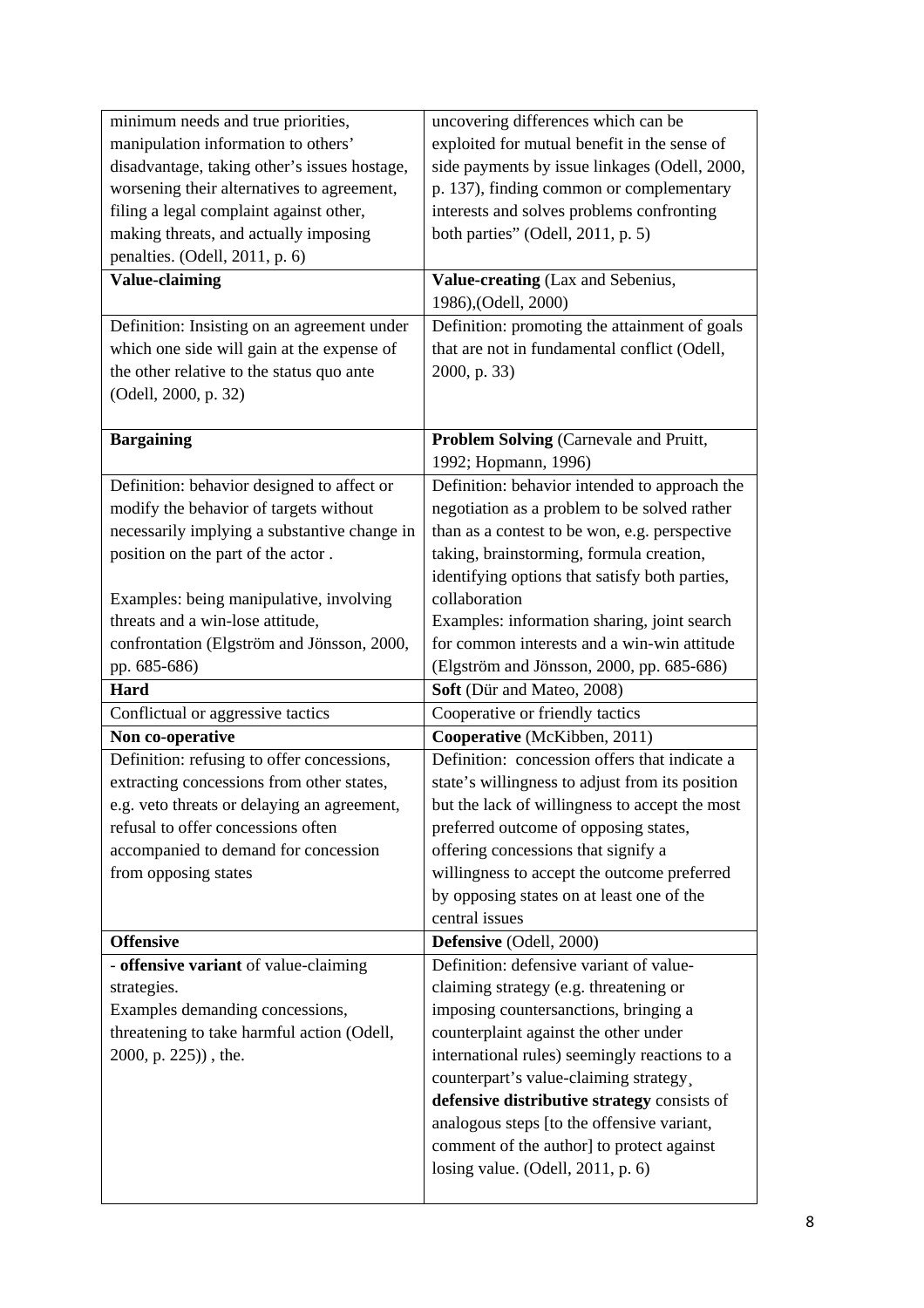| minimum needs and true priorities,                                                      | uncovering differences which can be                                                               |
|-----------------------------------------------------------------------------------------|---------------------------------------------------------------------------------------------------|
| manipulation information to others'                                                     | exploited for mutual benefit in the sense of                                                      |
| disadvantage, taking other's issues hostage,                                            | side payments by issue linkages (Odell, 2000,                                                     |
| worsening their alternatives to agreement,                                              | p. 137), finding common or complementary                                                          |
| filing a legal complaint against other,                                                 | interests and solves problems confronting                                                         |
| making threats, and actually imposing                                                   | both parties" (Odell, 2011, p. 5)                                                                 |
| penalties. (Odell, 2011, p. 6)                                                          |                                                                                                   |
| <b>Value-claiming</b>                                                                   | Value-creating (Lax and Sebenius,                                                                 |
|                                                                                         | 1986),(Odell, 2000)                                                                               |
| Definition: Insisting on an agreement under                                             | Definition: promoting the attainment of goals                                                     |
| which one side will gain at the expense of                                              | that are not in fundamental conflict (Odell,                                                      |
| the other relative to the status quo ante                                               | 2000, p. 33)                                                                                      |
| (Odell, 2000, p. 32)                                                                    |                                                                                                   |
|                                                                                         |                                                                                                   |
| <b>Bargaining</b>                                                                       | Problem Solving (Carnevale and Pruitt,                                                            |
|                                                                                         | 1992; Hopmann, 1996)                                                                              |
| Definition: behavior designed to affect or                                              | Definition: behavior intended to approach the                                                     |
| modify the behavior of targets without                                                  | negotiation as a problem to be solved rather                                                      |
| necessarily implying a substantive change in                                            | than as a contest to be won, e.g. perspective                                                     |
| position on the part of the actor.                                                      | taking, brainstorming, formula creation,                                                          |
|                                                                                         | identifying options that satisfy both parties,                                                    |
| Examples: being manipulative, involving                                                 | collaboration                                                                                     |
| threats and a win-lose attitude,                                                        | Examples: information sharing, joint search                                                       |
| confrontation (Elgström and Jönsson, 2000,                                              | for common interests and a win-win attitude                                                       |
|                                                                                         |                                                                                                   |
| pp. 685-686)                                                                            | (Elgström and Jönsson, 2000, pp. 685-686)                                                         |
| Hard                                                                                    | Soft (Dür and Mateo, 2008)                                                                        |
| Conflictual or aggressive tactics                                                       | Cooperative or friendly tactics                                                                   |
| Non co-operative                                                                        | Cooperative (McKibben, 2011)                                                                      |
|                                                                                         | Definition: concession offers that indicate a                                                     |
| Definition: refusing to offer concessions,<br>extracting concessions from other states, |                                                                                                   |
| e.g. veto threats or delaying an agreement,                                             | state's willingness to adjust from its position<br>but the lack of willingness to accept the most |
| refusal to offer concessions often                                                      | preferred outcome of opposing states,                                                             |
| accompanied to demand for concession                                                    | offering concessions that signify a                                                               |
| from opposing states                                                                    | willingness to accept the outcome preferred                                                       |
|                                                                                         | by opposing states on at least one of the                                                         |
|                                                                                         | central issues                                                                                    |
| <b>Offensive</b>                                                                        | Defensive (Odell, 2000)                                                                           |
| - offensive variant of value-claiming                                                   | Definition: defensive variant of value-                                                           |
| strategies.                                                                             | claiming strategy (e.g. threatening or                                                            |
| Examples demanding concessions,                                                         | imposing countersanctions, bringing a                                                             |
| threatening to take harmful action (Odell,                                              | counterplaint against the other under                                                             |
| 2000, p. 225)), the.                                                                    | international rules) seemingly reactions to a                                                     |
|                                                                                         | counterpart's value-claiming strategy,                                                            |
|                                                                                         | defensive distributive strategy consists of                                                       |
|                                                                                         | analogous steps [to the offensive variant,                                                        |
|                                                                                         | comment of the author] to protect against                                                         |
|                                                                                         | losing value. (Odell, $2011$ , p. 6)                                                              |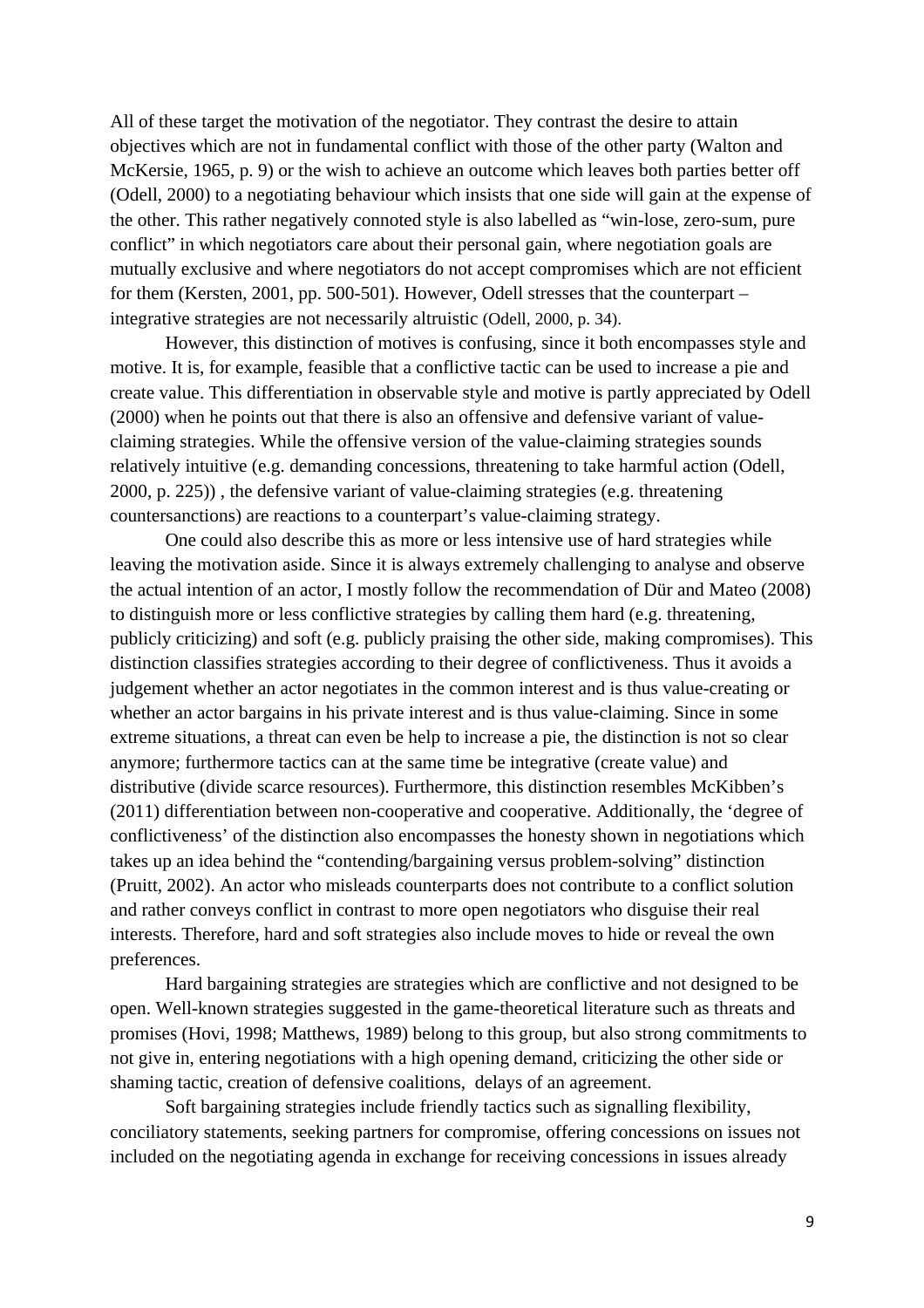All of these target the motivation of the negotiator. They contrast the desire to attain objectives which are not in fundamental conflict with those of the other party (Walton and McKersie, 1965, p. 9) or the wish to achieve an outcome which leaves both parties better off (Odell, 2000) to a negotiating behaviour which insists that one side will gain at the expense of the other. This rather negatively connoted style is also labelled as "win-lose, zero-sum, pure conflict" in which negotiators care about their personal gain, where negotiation goals are mutually exclusive and where negotiators do not accept compromises which are not efficient for them (Kersten, 2001, pp. 500-501). However, Odell stresses that the counterpart – integrative strategies are not necessarily altruistic (Odell, 2000, p. 34).

However, this distinction of motives is confusing, since it both encompasses style and motive. It is, for example, feasible that a conflictive tactic can be used to increase a pie and create value. This differentiation in observable style and motive is partly appreciated by Odell (2000) when he points out that there is also an offensive and defensive variant of valueclaiming strategies. While the offensive version of the value-claiming strategies sounds relatively intuitive (e.g. demanding concessions, threatening to take harmful action (Odell, 2000, p. 225)) , the defensive variant of value-claiming strategies (e.g. threatening countersanctions) are reactions to a counterpart's value-claiming strategy.

One could also describe this as more or less intensive use of hard strategies while leaving the motivation aside. Since it is always extremely challenging to analyse and observe the actual intention of an actor, I mostly follow the recommendation of Dür and Mateo (2008) to distinguish more or less conflictive strategies by calling them hard (e.g. threatening, publicly criticizing) and soft (e.g. publicly praising the other side, making compromises). This distinction classifies strategies according to their degree of conflictiveness. Thus it avoids a judgement whether an actor negotiates in the common interest and is thus value-creating or whether an actor bargains in his private interest and is thus value-claiming. Since in some extreme situations, a threat can even be help to increase a pie, the distinction is not so clear anymore; furthermore tactics can at the same time be integrative (create value) and distributive (divide scarce resources). Furthermore, this distinction resembles McKibben's (2011) differentiation between non-cooperative and cooperative. Additionally, the 'degree of conflictiveness' of the distinction also encompasses the honesty shown in negotiations which takes up an idea behind the "contending/bargaining versus problem-solving" distinction (Pruitt, 2002). An actor who misleads counterparts does not contribute to a conflict solution and rather conveys conflict in contrast to more open negotiators who disguise their real interests. Therefore, hard and soft strategies also include moves to hide or reveal the own preferences.

Hard bargaining strategies are strategies which are conflictive and not designed to be open. Well-known strategies suggested in the game-theoretical literature such as threats and promises (Hovi, 1998; Matthews, 1989) belong to this group, but also strong commitments to not give in, entering negotiations with a high opening demand, criticizing the other side or shaming tactic, creation of defensive coalitions, delays of an agreement.

Soft bargaining strategies include friendly tactics such as signalling flexibility, conciliatory statements, seeking partners for compromise, offering concessions on issues not included on the negotiating agenda in exchange for receiving concessions in issues already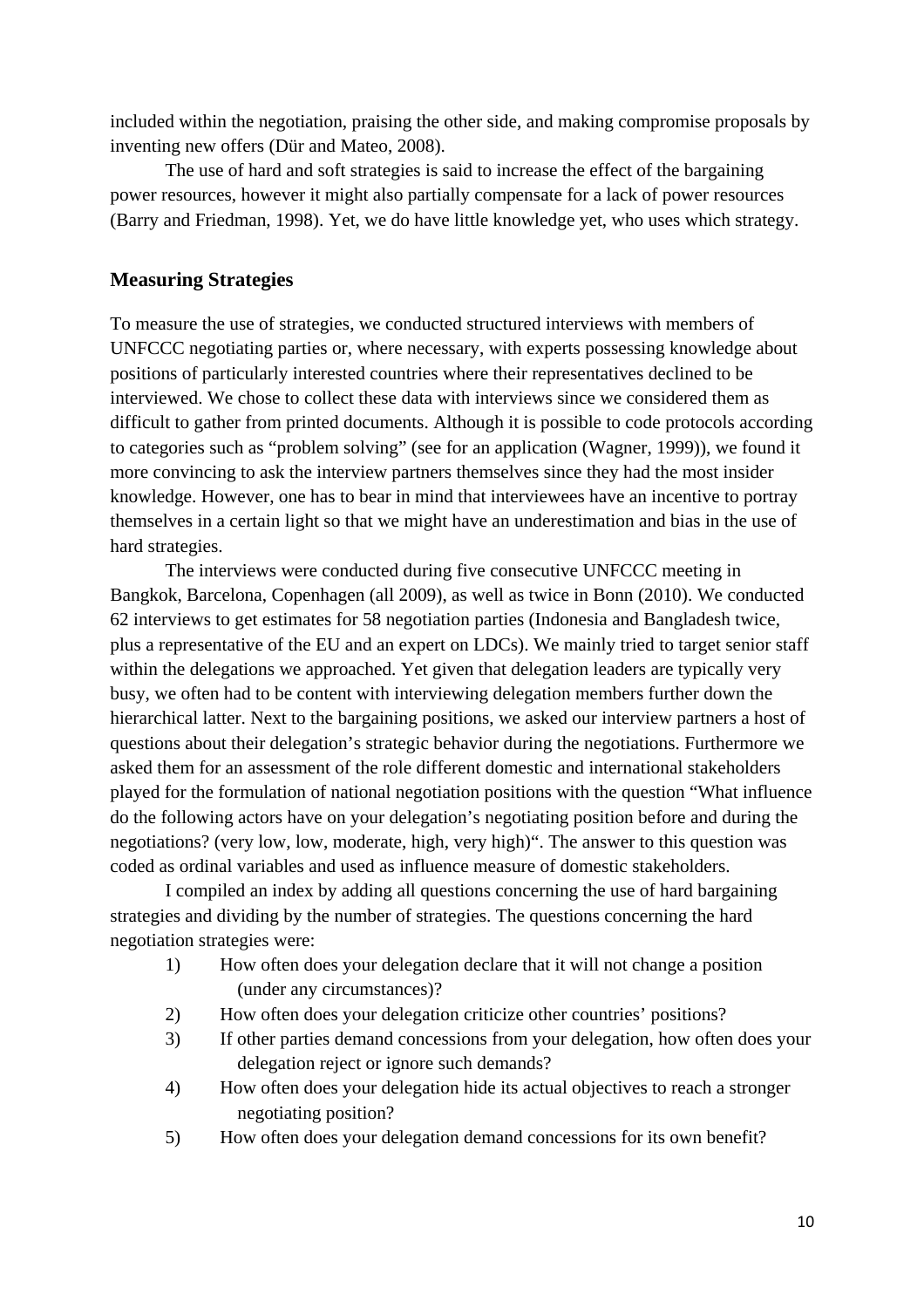included within the negotiation, praising the other side, and making compromise proposals by inventing new offers (Dür and Mateo, 2008).

The use of hard and soft strategies is said to increase the effect of the bargaining power resources, however it might also partially compensate for a lack of power resources (Barry and Friedman, 1998). Yet, we do have little knowledge yet, who uses which strategy.

# **Measuring Strategies**

To measure the use of strategies, we conducted structured interviews with members of UNFCCC negotiating parties or, where necessary, with experts possessing knowledge about positions of particularly interested countries where their representatives declined to be interviewed. We chose to collect these data with interviews since we considered them as difficult to gather from printed documents. Although it is possible to code protocols according to categories such as "problem solving" (see for an application (Wagner, 1999)), we found it more convincing to ask the interview partners themselves since they had the most insider knowledge. However, one has to bear in mind that interviewees have an incentive to portray themselves in a certain light so that we might have an underestimation and bias in the use of hard strategies.

The interviews were conducted during five consecutive UNFCCC meeting in Bangkok, Barcelona, Copenhagen (all 2009), as well as twice in Bonn (2010). We conducted 62 interviews to get estimates for 58 negotiation parties (Indonesia and Bangladesh twice, plus a representative of the EU and an expert on LDCs). We mainly tried to target senior staff within the delegations we approached. Yet given that delegation leaders are typically very busy, we often had to be content with interviewing delegation members further down the hierarchical latter. Next to the bargaining positions, we asked our interview partners a host of questions about their delegation's strategic behavior during the negotiations. Furthermore we asked them for an assessment of the role different domestic and international stakeholders played for the formulation of national negotiation positions with the question "What influence do the following actors have on your delegation's negotiating position before and during the negotiations? (very low, low, moderate, high, very high)". The answer to this question was coded as ordinal variables and used as influence measure of domestic stakeholders.

I compiled an index by adding all questions concerning the use of hard bargaining strategies and dividing by the number of strategies. The questions concerning the hard negotiation strategies were:

- 1) How often does your delegation declare that it will not change a position (under any circumstances)?
- 2) How often does your delegation criticize other countries' positions?
- 3) If other parties demand concessions from your delegation, how often does your delegation reject or ignore such demands?
- 4) How often does your delegation hide its actual objectives to reach a stronger negotiating position?
- 5) How often does your delegation demand concessions for its own benefit?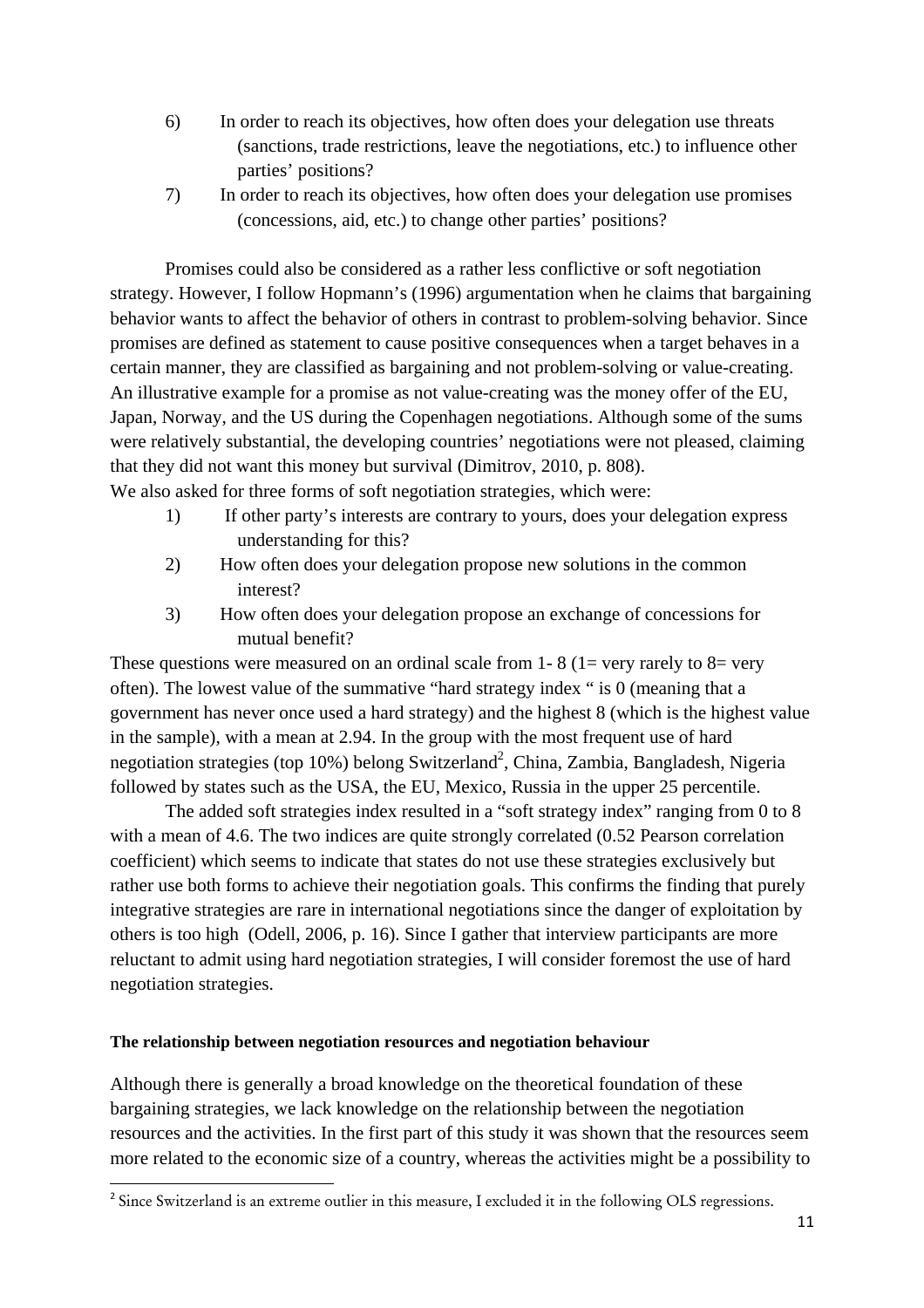- 6) In order to reach its objectives, how often does your delegation use threats (sanctions, trade restrictions, leave the negotiations, etc.) to influence other parties' positions?
- 7) In order to reach its objectives, how often does your delegation use promises (concessions, aid, etc.) to change other parties' positions?

Promises could also be considered as a rather less conflictive or soft negotiation strategy. However, I follow Hopmann's (1996) argumentation when he claims that bargaining behavior wants to affect the behavior of others in contrast to problem-solving behavior. Since promises are defined as statement to cause positive consequences when a target behaves in a certain manner, they are classified as bargaining and not problem-solving or value-creating. An illustrative example for a promise as not value-creating was the money offer of the EU, Japan, Norway, and the US during the Copenhagen negotiations. Although some of the sums were relatively substantial, the developing countries' negotiations were not pleased, claiming that they did not want this money but survival (Dimitrov, 2010, p. 808).

We also asked for three forms of soft negotiation strategies, which were:

- 1) If other party's interests are contrary to yours, does your delegation express understanding for this?
- 2) How often does your delegation propose new solutions in the common interest?
- 3) How often does your delegation propose an exchange of concessions for mutual benefit?

These questions were measured on an ordinal scale from 1-8 (1= very rarely to 8= very often). The lowest value of the summative "hard strategy index " is 0 (meaning that a government has never once used a hard strategy) and the highest 8 (which is the highest value in the sample), with a mean at 2.94. In the group with the most frequent use of hard negotiation strategies (top 10%) belong Switzerland<sup>2</sup>, China, Zambia, Bangladesh, Nigeria followed by states such as the USA, the EU, Mexico, Russia in the upper 25 percentile.

The added soft strategies index resulted in a "soft strategy index" ranging from 0 to 8 with a mean of 4.6. The two indices are quite strongly correlated (0.52 Pearson correlation coefficient) which seems to indicate that states do not use these strategies exclusively but rather use both forms to achieve their negotiation goals. This confirms the finding that purely integrative strategies are rare in international negotiations since the danger of exploitation by others is too high (Odell, 2006, p. 16). Since I gather that interview participants are more reluctant to admit using hard negotiation strategies, I will consider foremost the use of hard negotiation strategies.

# **The relationship between negotiation resources and negotiation behaviour**

Although there is generally a broad knowledge on the theoretical foundation of these bargaining strategies, we lack knowledge on the relationship between the negotiation resources and the activities. In the first part of this study it was shown that the resources seem more related to the economic size of a country, whereas the activities might be a possibility to

 $2^{2}$  Since Switzerland is an extreme outlier in this measure, I excluded it in the following OLS regressions.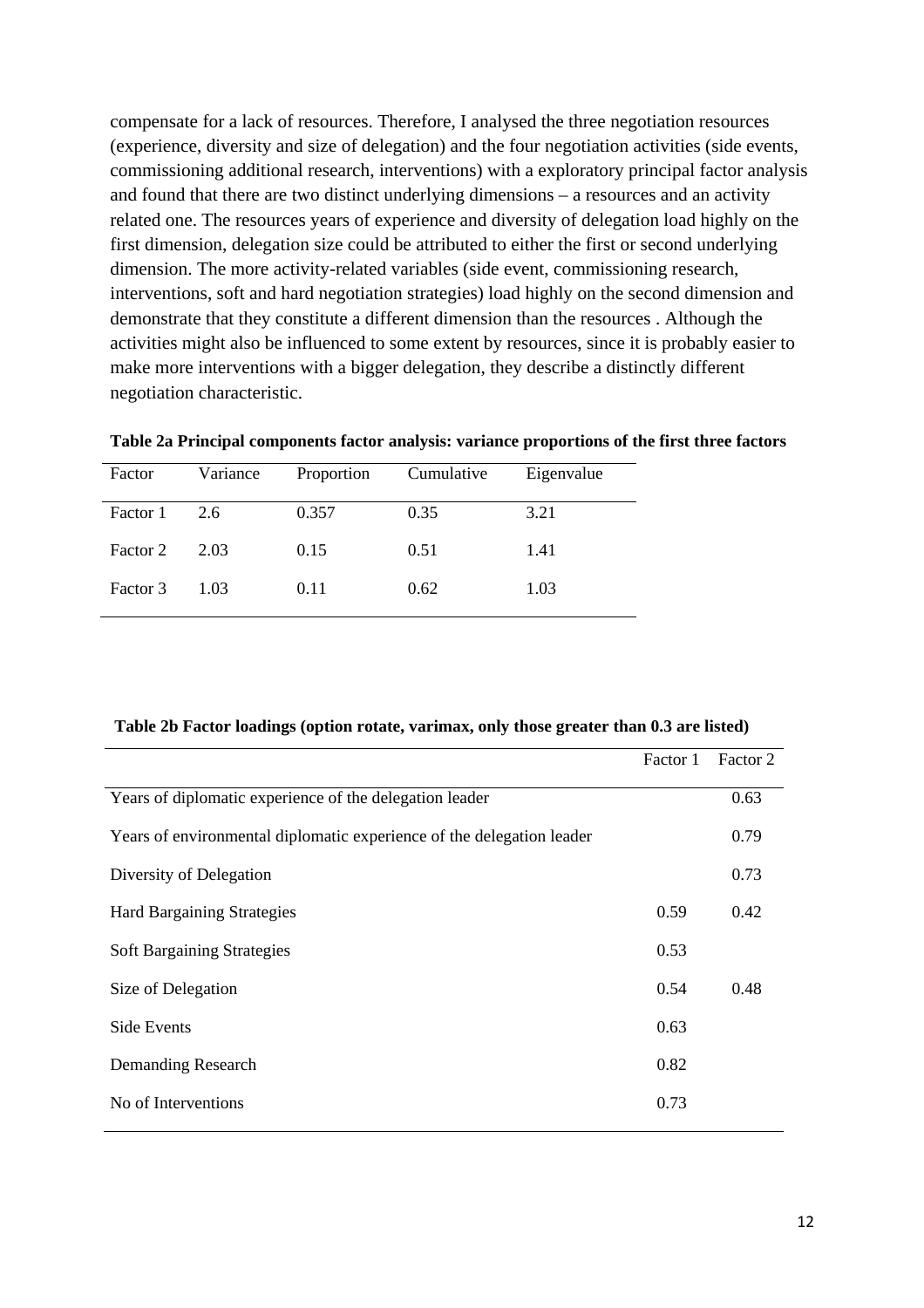compensate for a lack of resources. Therefore, I analysed the three negotiation resources (experience, diversity and size of delegation) and the four negotiation activities (side events, commissioning additional research, interventions) with a exploratory principal factor analysis and found that there are two distinct underlying dimensions – a resources and an activity related one. The resources years of experience and diversity of delegation load highly on the first dimension, delegation size could be attributed to either the first or second underlying dimension. The more activity-related variables (side event, commissioning research, interventions, soft and hard negotiation strategies) load highly on the second dimension and demonstrate that they constitute a different dimension than the resources . Although the activities might also be influenced to some extent by resources, since it is probably easier to make more interventions with a bigger delegation, they describe a distinctly different negotiation characteristic.

| Table 2a Principal components factor analysis: variance proportions of the first three factors |  |  |
|------------------------------------------------------------------------------------------------|--|--|
|                                                                                                |  |  |

| Factor   | Variance | Proportion | Cumulative | Eigenvalue |
|----------|----------|------------|------------|------------|
| Factor 1 | 2.6      | 0.357      | 0.35       | 3.21       |
| Factor 2 | 2.03     | 0.15       | 0.51       | 1.41       |
| Factor 3 | 1.03     | 0.11       | 0.62       | 1.03       |

|                                                                       | Factor 1 | Factor 2 |
|-----------------------------------------------------------------------|----------|----------|
| Years of diplomatic experience of the delegation leader               |          | 0.63     |
| Years of environmental diplomatic experience of the delegation leader |          | 0.79     |
| Diversity of Delegation                                               |          | 0.73     |
| <b>Hard Bargaining Strategies</b>                                     | 0.59     | 0.42     |
| <b>Soft Bargaining Strategies</b>                                     | 0.53     |          |
| Size of Delegation                                                    | 0.54     | 0.48     |
| Side Events                                                           | 0.63     |          |
| Demanding Research                                                    | 0.82     |          |
| No of Interventions                                                   | 0.73     |          |
|                                                                       |          |          |

 **Table 2b Factor loadings (option rotate, varimax, only those greater than 0.3 are listed)**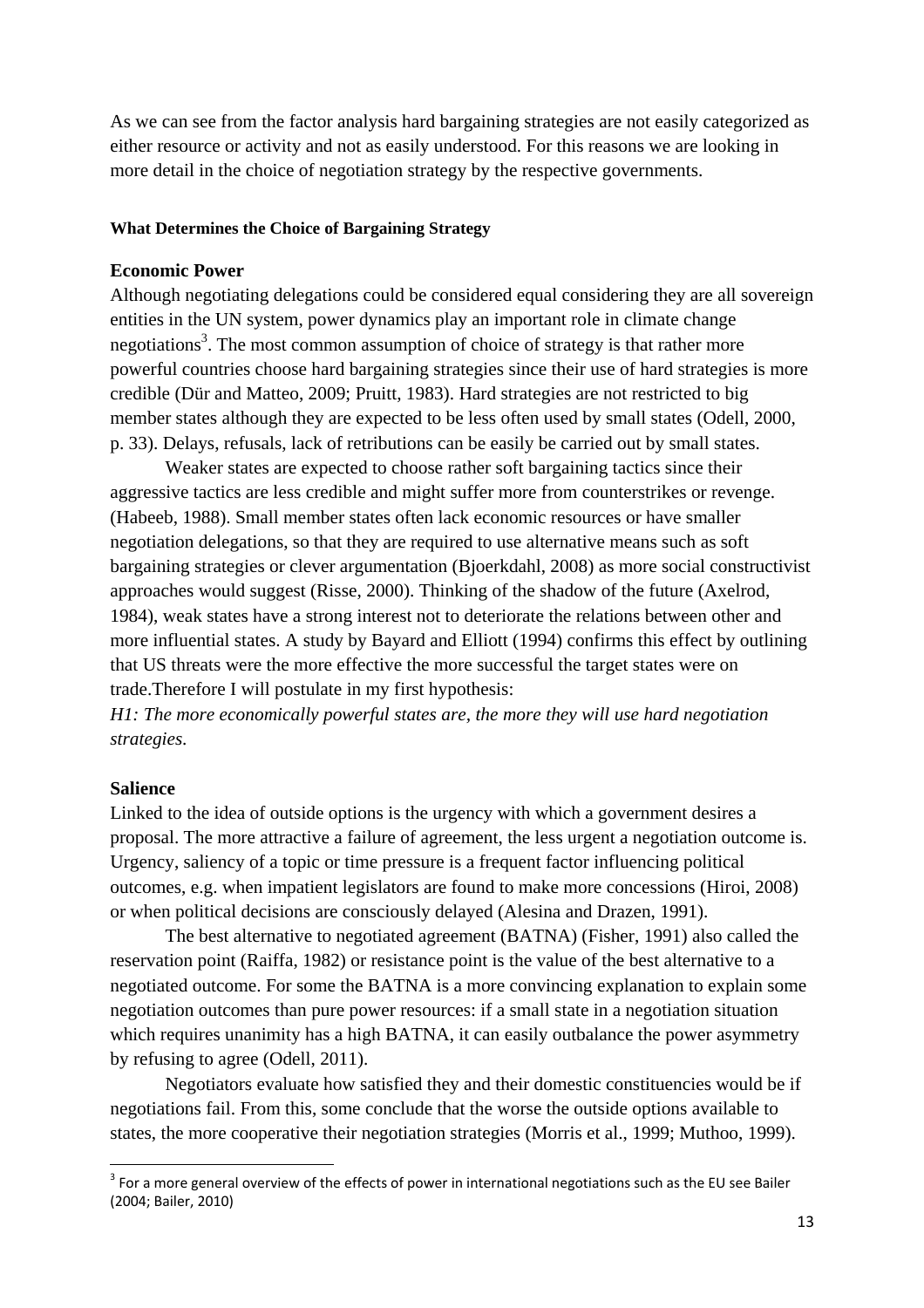As we can see from the factor analysis hard bargaining strategies are not easily categorized as either resource or activity and not as easily understood. For this reasons we are looking in more detail in the choice of negotiation strategy by the respective governments.

#### **What Determines the Choice of Bargaining Strategy**

#### **Economic Power**

Although negotiating delegations could be considered equal considering they are all sovereign entities in the UN system, power dynamics play an important role in climate change negotiations<sup>3</sup>. The most common assumption of choice of strategy is that rather more powerful countries choose hard bargaining strategies since their use of hard strategies is more credible (Dür and Matteo, 2009; Pruitt, 1983). Hard strategies are not restricted to big member states although they are expected to be less often used by small states (Odell, 2000, p. 33). Delays, refusals, lack of retributions can be easily be carried out by small states.

Weaker states are expected to choose rather soft bargaining tactics since their aggressive tactics are less credible and might suffer more from counterstrikes or revenge. (Habeeb, 1988). Small member states often lack economic resources or have smaller negotiation delegations, so that they are required to use alternative means such as soft bargaining strategies or clever argumentation (Bjoerkdahl, 2008) as more social constructivist approaches would suggest (Risse, 2000). Thinking of the shadow of the future (Axelrod, 1984), weak states have a strong interest not to deteriorate the relations between other and more influential states. A study by Bayard and Elliott (1994) confirms this effect by outlining that US threats were the more effective the more successful the target states were on trade.Therefore I will postulate in my first hypothesis:

*H1: The more economically powerful states are, the more they will use hard negotiation strategies.* 

#### **Salience**

Linked to the idea of outside options is the urgency with which a government desires a proposal. The more attractive a failure of agreement, the less urgent a negotiation outcome is. Urgency, saliency of a topic or time pressure is a frequent factor influencing political outcomes, e.g. when impatient legislators are found to make more concessions (Hiroi, 2008) or when political decisions are consciously delayed (Alesina and Drazen, 1991).

The best alternative to negotiated agreement (BATNA) (Fisher, 1991) also called the reservation point (Raiffa, 1982) or resistance point is the value of the best alternative to a negotiated outcome. For some the BATNA is a more convincing explanation to explain some negotiation outcomes than pure power resources: if a small state in a negotiation situation which requires unanimity has a high BATNA, it can easily outbalance the power asymmetry by refusing to agree (Odell, 2011).

Negotiators evaluate how satisfied they and their domestic constituencies would be if negotiations fail. From this, some conclude that the worse the outside options available to states, the more cooperative their negotiation strategies (Morris et al., 1999; Muthoo, 1999).

 $3$  For a more general overview of the effects of power in international negotiations such as the EU see Bailer (2004; Bailer, 2010)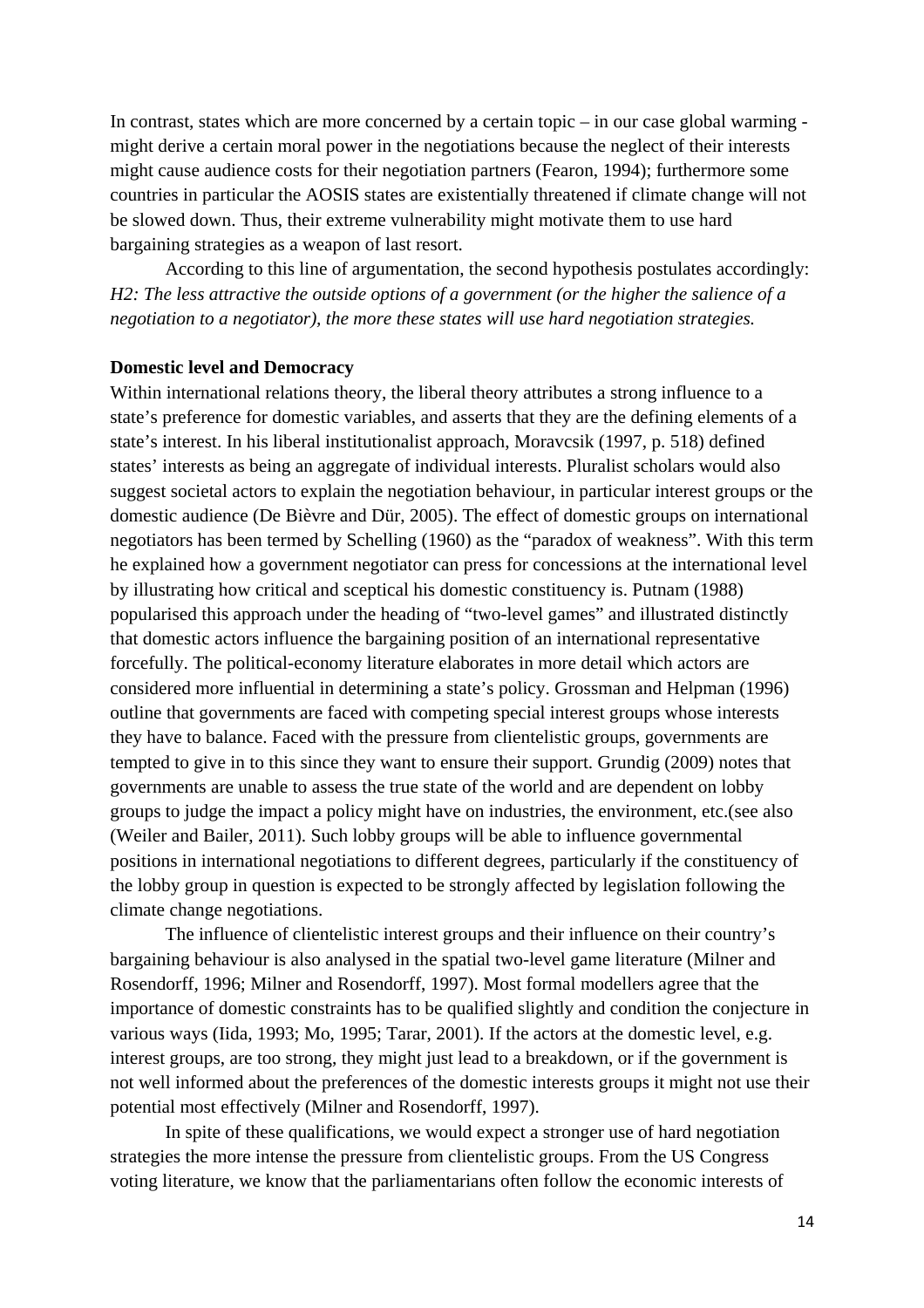In contrast, states which are more concerned by a certain topic – in our case global warming might derive a certain moral power in the negotiations because the neglect of their interests might cause audience costs for their negotiation partners (Fearon, 1994); furthermore some countries in particular the AOSIS states are existentially threatened if climate change will not be slowed down. Thus, their extreme vulnerability might motivate them to use hard bargaining strategies as a weapon of last resort.

According to this line of argumentation, the second hypothesis postulates accordingly: *H2: The less attractive the outside options of a government (or the higher the salience of a negotiation to a negotiator), the more these states will use hard negotiation strategies.* 

### **Domestic level and Democracy**

Within international relations theory, the liberal theory attributes a strong influence to a state's preference for domestic variables, and asserts that they are the defining elements of a state's interest. In his liberal institutionalist approach, Moravcsik (1997, p. 518) defined states' interests as being an aggregate of individual interests. Pluralist scholars would also suggest societal actors to explain the negotiation behaviour, in particular interest groups or the domestic audience (De Bièvre and Dür, 2005). The effect of domestic groups on international negotiators has been termed by Schelling (1960) as the "paradox of weakness". With this term he explained how a government negotiator can press for concessions at the international level by illustrating how critical and sceptical his domestic constituency is. Putnam (1988) popularised this approach under the heading of "two-level games" and illustrated distinctly that domestic actors influence the bargaining position of an international representative forcefully. The political-economy literature elaborates in more detail which actors are considered more influential in determining a state's policy. Grossman and Helpman (1996) outline that governments are faced with competing special interest groups whose interests they have to balance. Faced with the pressure from clientelistic groups, governments are tempted to give in to this since they want to ensure their support. Grundig (2009) notes that governments are unable to assess the true state of the world and are dependent on lobby groups to judge the impact a policy might have on industries, the environment, etc.(see also (Weiler and Bailer, 2011). Such lobby groups will be able to influence governmental positions in international negotiations to different degrees, particularly if the constituency of the lobby group in question is expected to be strongly affected by legislation following the climate change negotiations.

The influence of clientelistic interest groups and their influence on their country's bargaining behaviour is also analysed in the spatial two-level game literature (Milner and Rosendorff, 1996; Milner and Rosendorff, 1997). Most formal modellers agree that the importance of domestic constraints has to be qualified slightly and condition the conjecture in various ways (Iida, 1993; Mo, 1995; Tarar, 2001). If the actors at the domestic level, e.g. interest groups, are too strong, they might just lead to a breakdown, or if the government is not well informed about the preferences of the domestic interests groups it might not use their potential most effectively (Milner and Rosendorff, 1997).

In spite of these qualifications, we would expect a stronger use of hard negotiation strategies the more intense the pressure from clientelistic groups. From the US Congress voting literature, we know that the parliamentarians often follow the economic interests of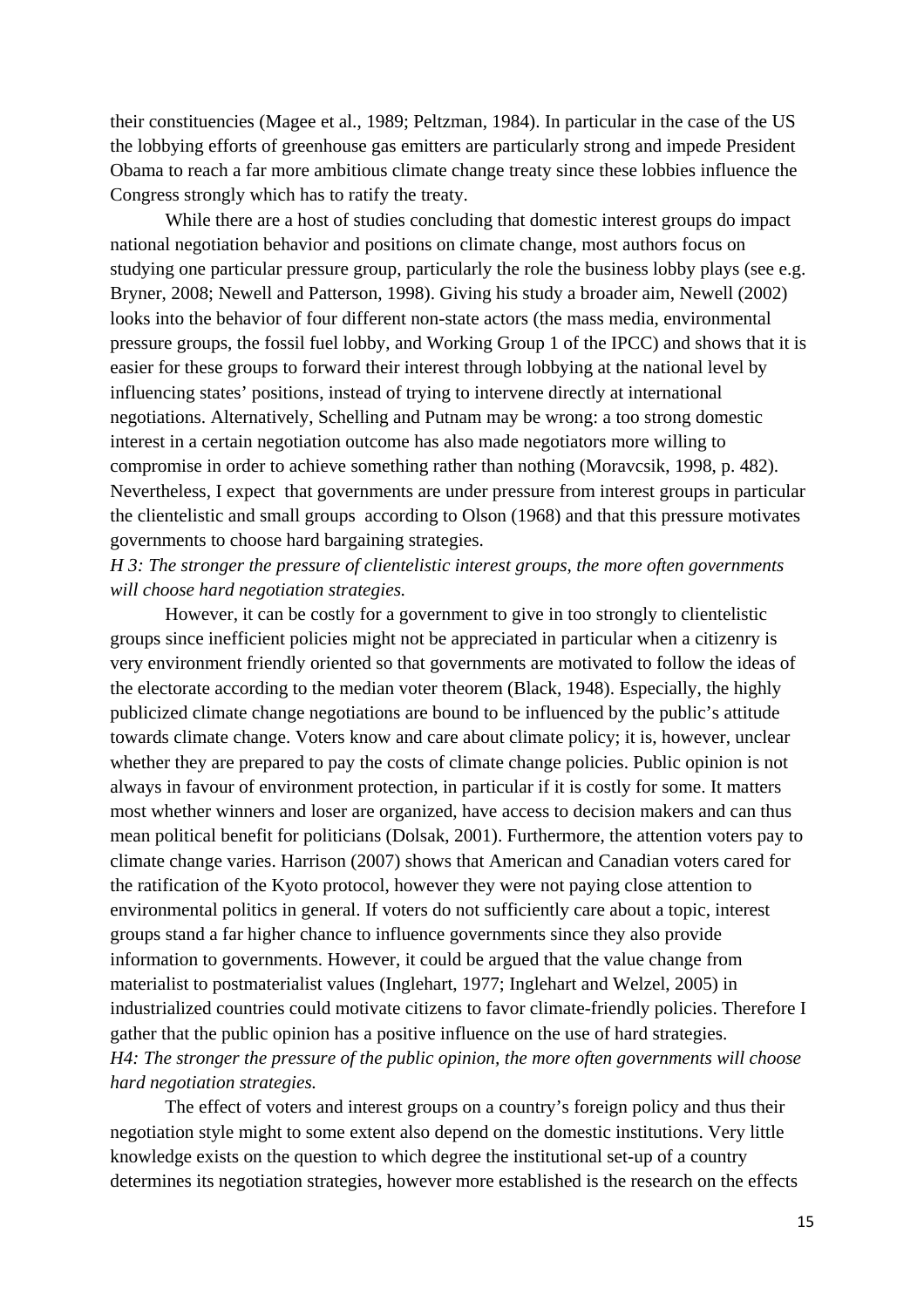their constituencies (Magee et al., 1989; Peltzman, 1984). In particular in the case of the US the lobbying efforts of greenhouse gas emitters are particularly strong and impede President Obama to reach a far more ambitious climate change treaty since these lobbies influence the Congress strongly which has to ratify the treaty.

While there are a host of studies concluding that domestic interest groups do impact national negotiation behavior and positions on climate change, most authors focus on studying one particular pressure group, particularly the role the business lobby plays (see e.g. Bryner, 2008; Newell and Patterson, 1998). Giving his study a broader aim, Newell (2002) looks into the behavior of four different non-state actors (the mass media, environmental pressure groups, the fossil fuel lobby, and Working Group 1 of the IPCC) and shows that it is easier for these groups to forward their interest through lobbying at the national level by influencing states' positions, instead of trying to intervene directly at international negotiations. Alternatively, Schelling and Putnam may be wrong: a too strong domestic interest in a certain negotiation outcome has also made negotiators more willing to compromise in order to achieve something rather than nothing (Moravcsik, 1998, p. 482). Nevertheless, I expect that governments are under pressure from interest groups in particular the clientelistic and small groups according to Olson (1968) and that this pressure motivates governments to choose hard bargaining strategies.

# *H 3: The stronger the pressure of clientelistic interest groups, the more often governments will choose hard negotiation strategies.*

However, it can be costly for a government to give in too strongly to clientelistic groups since inefficient policies might not be appreciated in particular when a citizenry is very environment friendly oriented so that governments are motivated to follow the ideas of the electorate according to the median voter theorem (Black, 1948). Especially, the highly publicized climate change negotiations are bound to be influenced by the public's attitude towards climate change. Voters know and care about climate policy; it is, however, unclear whether they are prepared to pay the costs of climate change policies. Public opinion is not always in favour of environment protection, in particular if it is costly for some. It matters most whether winners and loser are organized, have access to decision makers and can thus mean political benefit for politicians (Dolsak, 2001). Furthermore, the attention voters pay to climate change varies. Harrison (2007) shows that American and Canadian voters cared for the ratification of the Kyoto protocol, however they were not paying close attention to environmental politics in general. If voters do not sufficiently care about a topic, interest groups stand a far higher chance to influence governments since they also provide information to governments. However, it could be argued that the value change from materialist to postmaterialist values (Inglehart, 1977; Inglehart and Welzel, 2005) in industrialized countries could motivate citizens to favor climate-friendly policies. Therefore I gather that the public opinion has a positive influence on the use of hard strategies. *H4: The stronger the pressure of the public opinion, the more often governments will choose hard negotiation strategies.* 

The effect of voters and interest groups on a country's foreign policy and thus their negotiation style might to some extent also depend on the domestic institutions. Very little knowledge exists on the question to which degree the institutional set-up of a country determines its negotiation strategies, however more established is the research on the effects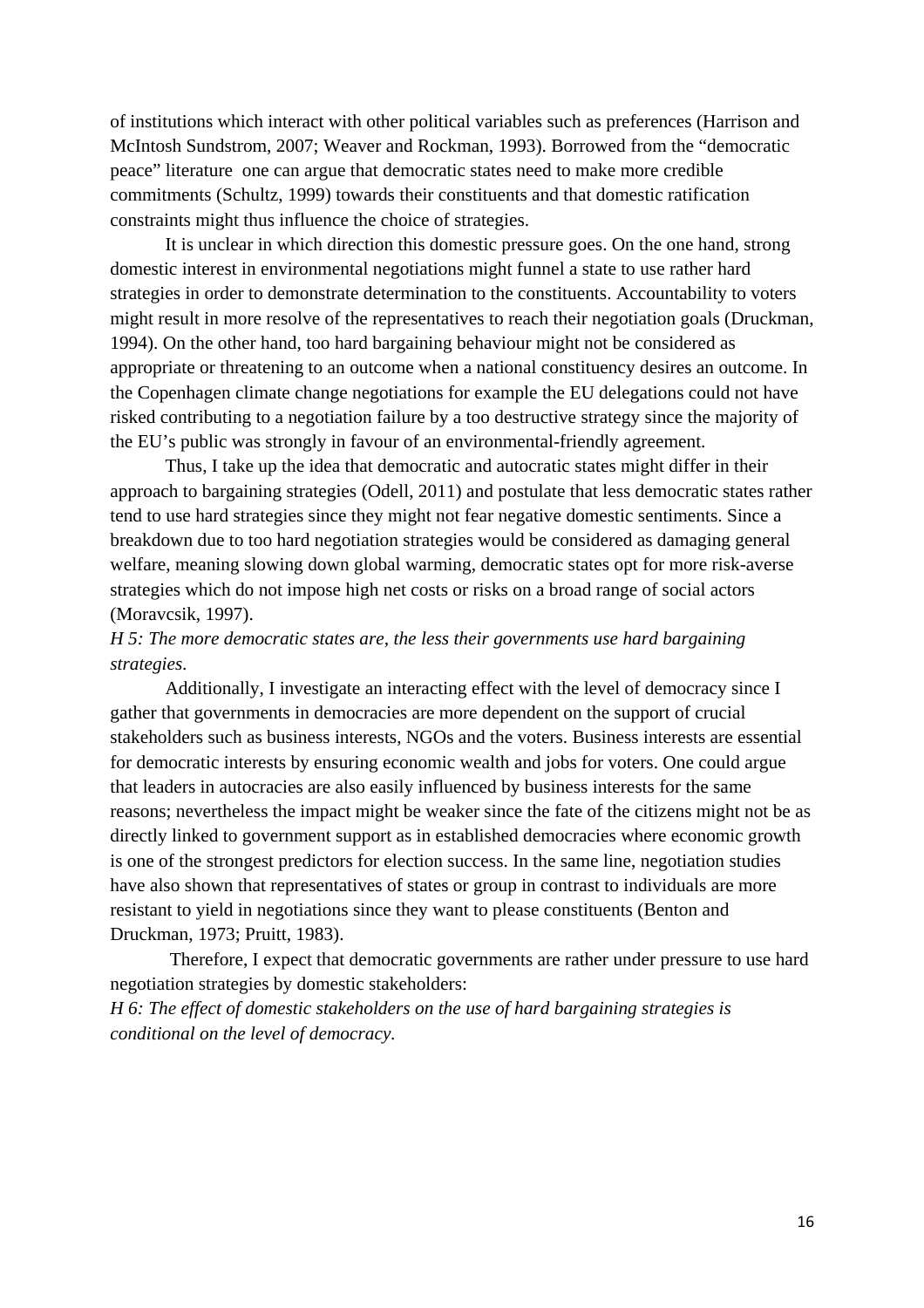of institutions which interact with other political variables such as preferences (Harrison and McIntosh Sundstrom, 2007; Weaver and Rockman, 1993). Borrowed from the "democratic peace" literature one can argue that democratic states need to make more credible commitments (Schultz, 1999) towards their constituents and that domestic ratification constraints might thus influence the choice of strategies.

It is unclear in which direction this domestic pressure goes. On the one hand, strong domestic interest in environmental negotiations might funnel a state to use rather hard strategies in order to demonstrate determination to the constituents. Accountability to voters might result in more resolve of the representatives to reach their negotiation goals (Druckman, 1994). On the other hand, too hard bargaining behaviour might not be considered as appropriate or threatening to an outcome when a national constituency desires an outcome. In the Copenhagen climate change negotiations for example the EU delegations could not have risked contributing to a negotiation failure by a too destructive strategy since the majority of the EU's public was strongly in favour of an environmental-friendly agreement.

Thus, I take up the idea that democratic and autocratic states might differ in their approach to bargaining strategies (Odell, 2011) and postulate that less democratic states rather tend to use hard strategies since they might not fear negative domestic sentiments. Since a breakdown due to too hard negotiation strategies would be considered as damaging general welfare, meaning slowing down global warming, democratic states opt for more risk-averse strategies which do not impose high net costs or risks on a broad range of social actors (Moravcsik, 1997).

# *H 5: The more democratic states are, the less their governments use hard bargaining strategies.*

Additionally, I investigate an interacting effect with the level of democracy since I gather that governments in democracies are more dependent on the support of crucial stakeholders such as business interests, NGOs and the voters. Business interests are essential for democratic interests by ensuring economic wealth and jobs for voters. One could argue that leaders in autocracies are also easily influenced by business interests for the same reasons; nevertheless the impact might be weaker since the fate of the citizens might not be as directly linked to government support as in established democracies where economic growth is one of the strongest predictors for election success. In the same line, negotiation studies have also shown that representatives of states or group in contrast to individuals are more resistant to yield in negotiations since they want to please constituents (Benton and Druckman, 1973; Pruitt, 1983).

 Therefore, I expect that democratic governments are rather under pressure to use hard negotiation strategies by domestic stakeholders:

*H 6: The effect of domestic stakeholders on the use of hard bargaining strategies is conditional on the level of democracy.*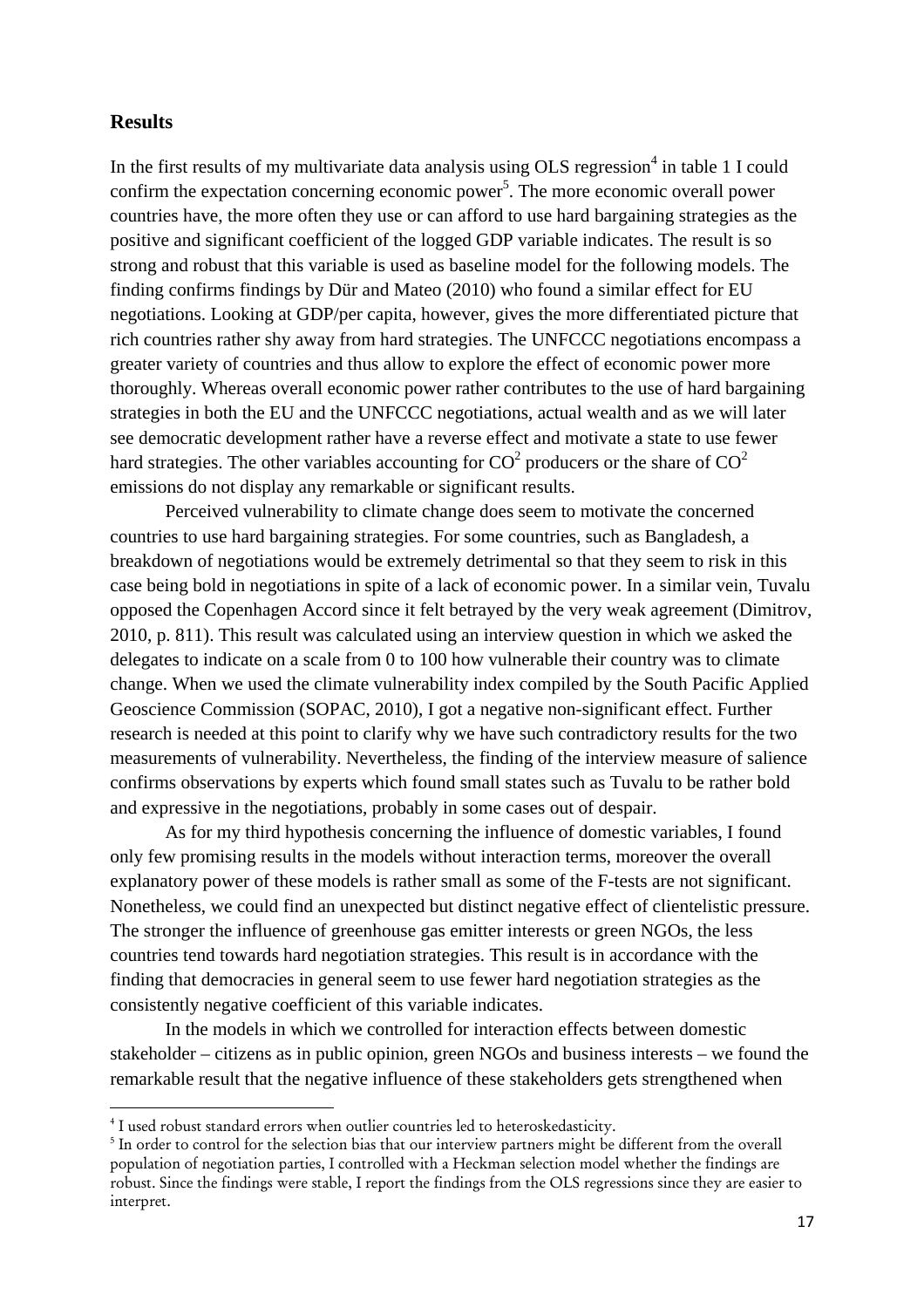### **Results**

In the first results of my multivariate data analysis using OLS regression<sup>4</sup> in table 1 I could confirm the expectation concerning economic power<sup>5</sup>. The more economic overall power countries have, the more often they use or can afford to use hard bargaining strategies as the positive and significant coefficient of the logged GDP variable indicates. The result is so strong and robust that this variable is used as baseline model for the following models. The finding confirms findings by Dür and Mateo (2010) who found a similar effect for EU negotiations. Looking at GDP/per capita, however, gives the more differentiated picture that rich countries rather shy away from hard strategies. The UNFCCC negotiations encompass a greater variety of countries and thus allow to explore the effect of economic power more thoroughly. Whereas overall economic power rather contributes to the use of hard bargaining strategies in both the EU and the UNFCCC negotiations, actual wealth and as we will later see democratic development rather have a reverse effect and motivate a state to use fewer hard strategies. The other variables accounting for  $CO^2$  producers or the share of  $CO^2$ emissions do not display any remarkable or significant results.

Perceived vulnerability to climate change does seem to motivate the concerned countries to use hard bargaining strategies. For some countries, such as Bangladesh, a breakdown of negotiations would be extremely detrimental so that they seem to risk in this case being bold in negotiations in spite of a lack of economic power. In a similar vein, Tuvalu opposed the Copenhagen Accord since it felt betrayed by the very weak agreement (Dimitrov, 2010, p. 811). This result was calculated using an interview question in which we asked the delegates to indicate on a scale from 0 to 100 how vulnerable their country was to climate change. When we used the climate vulnerability index compiled by the South Pacific Applied Geoscience Commission (SOPAC, 2010), I got a negative non-significant effect. Further research is needed at this point to clarify why we have such contradictory results for the two measurements of vulnerability. Nevertheless, the finding of the interview measure of salience confirms observations by experts which found small states such as Tuvalu to be rather bold and expressive in the negotiations, probably in some cases out of despair.

As for my third hypothesis concerning the influence of domestic variables, I found only few promising results in the models without interaction terms, moreover the overall explanatory power of these models is rather small as some of the F-tests are not significant. Nonetheless, we could find an unexpected but distinct negative effect of clientelistic pressure. The stronger the influence of greenhouse gas emitter interests or green NGOs, the less countries tend towards hard negotiation strategies. This result is in accordance with the finding that democracies in general seem to use fewer hard negotiation strategies as the consistently negative coefficient of this variable indicates.

In the models in which we controlled for interaction effects between domestic stakeholder – citizens as in public opinion, green NGOs and business interests – we found the remarkable result that the negative influence of these stakeholders gets strengthened when

<sup>&</sup>lt;sup>4</sup> I used robust standard errors when outlier countries led to heteroskedasticity.<br><sup>5</sup> In order to control for the selection bies that our interview pertners might be

<sup>&</sup>lt;sup>5</sup> In order to control for the selection bias that our interview partners might be different from the overall population of negotiation parties, I controlled with a Heckman selection model whether the findings are robust. Since the findings were stable, I report the findings from the OLS regressions since they are easier to interpret.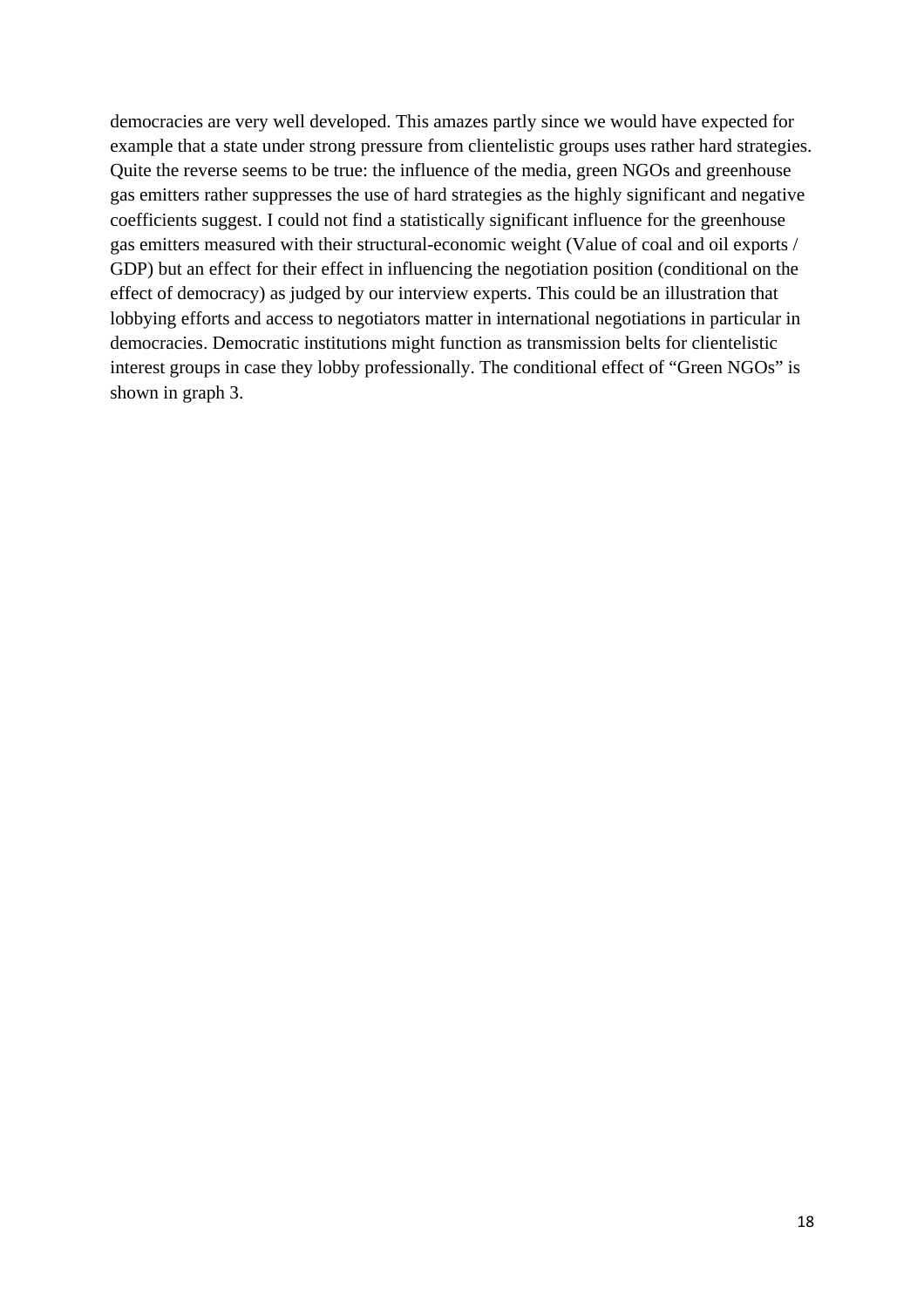democracies are very well developed. This amazes partly since we would have expected for example that a state under strong pressure from clientelistic groups uses rather hard strategies. Quite the reverse seems to be true: the influence of the media, green NGOs and greenhouse gas emitters rather suppresses the use of hard strategies as the highly significant and negative coefficients suggest. I could not find a statistically significant influence for the greenhouse gas emitters measured with their structural-economic weight (Value of coal and oil exports / GDP) but an effect for their effect in influencing the negotiation position (conditional on the effect of democracy) as judged by our interview experts. This could be an illustration that lobbying efforts and access to negotiators matter in international negotiations in particular in democracies. Democratic institutions might function as transmission belts for clientelistic interest groups in case they lobby professionally. The conditional effect of "Green NGOs" is shown in graph 3.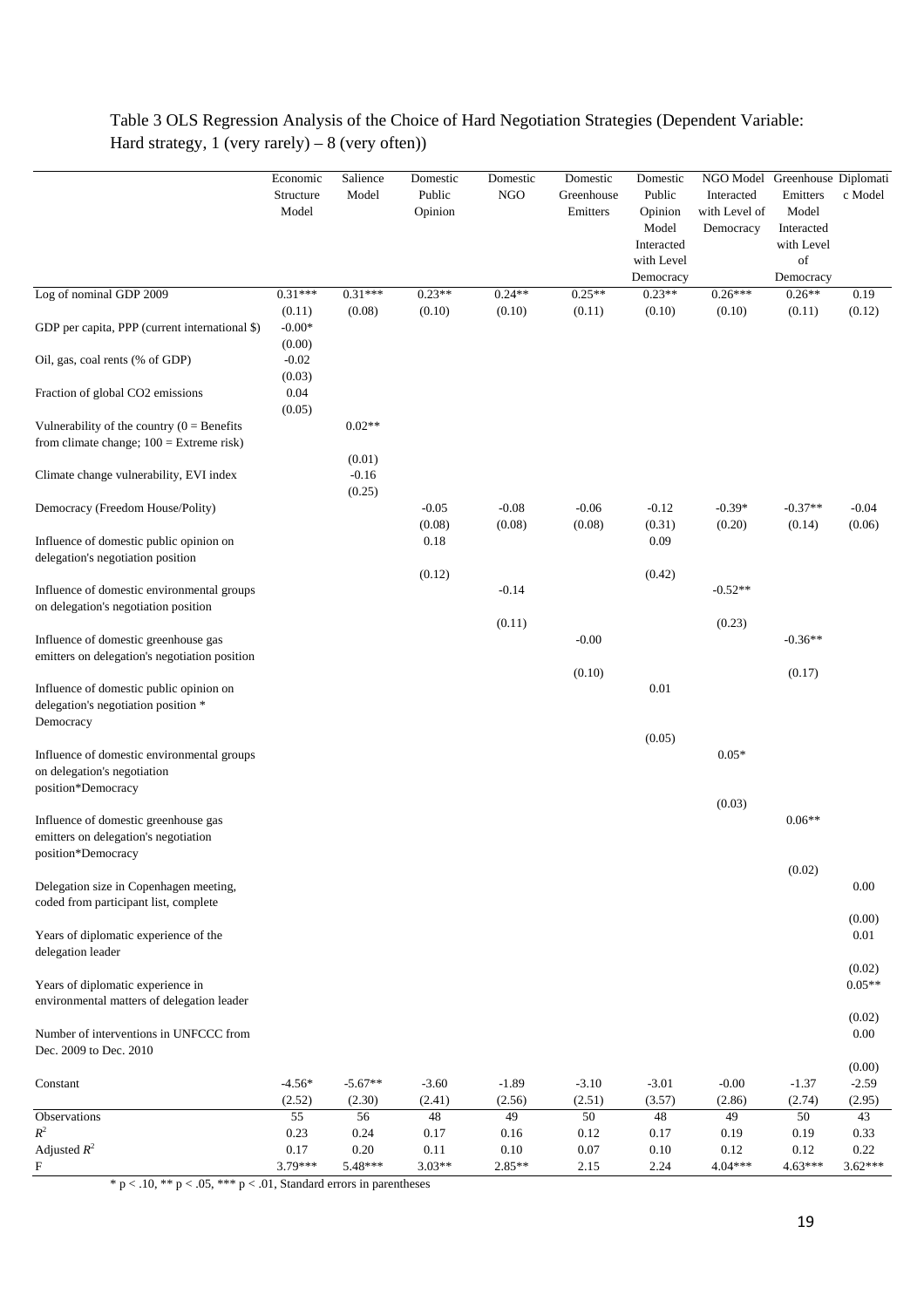|                                                                                                    | Economic<br>Structure<br>Model | Salience<br>Model   | Domestic<br>Public<br>Opinion | Domestic<br><b>NGO</b> | Domestic<br>Greenhouse<br>Emitters | Domestic<br>Public<br>Opinion<br>Model | NGO Model<br>Interacted<br>with Level of<br>Democracy | Greenhouse Diplomati<br>Emitters<br>Model<br>Interacted | c Model                     |
|----------------------------------------------------------------------------------------------------|--------------------------------|---------------------|-------------------------------|------------------------|------------------------------------|----------------------------------------|-------------------------------------------------------|---------------------------------------------------------|-----------------------------|
|                                                                                                    |                                |                     |                               |                        |                                    | Interacted<br>with Level<br>Democracy  |                                                       | with Level<br>of<br>Democracy                           |                             |
| Log of nominal GDP 2009                                                                            | $0.31***$                      | $0.31***$           | $0.23**$                      | $0.24**$               | $0.25**$                           | $0.23**$                               | $0.26***$                                             | $0.26**$                                                | 0.19                        |
| GDP per capita, PPP (current international \$)                                                     | (0.11)<br>$-0.00*$<br>(0.00)   | (0.08)              | (0.10)                        | (0.10)                 | (0.11)                             | (0.10)                                 | (0.10)                                                | (0.11)                                                  | (0.12)                      |
| Oil, gas, coal rents (% of GDP)                                                                    | $-0.02$<br>(0.03)              |                     |                               |                        |                                    |                                        |                                                       |                                                         |                             |
| Fraction of global CO2 emissions                                                                   | $0.04\,$<br>(0.05)             |                     |                               |                        |                                    |                                        |                                                       |                                                         |                             |
| Vulnerability of the country $(0 = \text{Benefits})$<br>from climate change; $100 =$ Extreme risk) |                                | $0.02**$<br>(0.01)  |                               |                        |                                    |                                        |                                                       |                                                         |                             |
| Climate change vulnerability, EVI index                                                            |                                | $-0.16$<br>(0.25)   |                               |                        |                                    |                                        |                                                       |                                                         |                             |
| Democracy (Freedom House/Polity)                                                                   |                                |                     | $-0.05$<br>(0.08)             | $-0.08$<br>(0.08)      | $-0.06$<br>(0.08)                  | $-0.12$<br>(0.31)                      | $-0.39*$<br>(0.20)                                    | $-0.37**$<br>(0.14)                                     | $-0.04$<br>(0.06)           |
| Influence of domestic public opinion on<br>delegation's negotiation position                       |                                |                     | 0.18<br>(0.12)                |                        |                                    | 0.09<br>(0.42)                         |                                                       |                                                         |                             |
| Influence of domestic environmental groups<br>on delegation's negotiation position                 |                                |                     |                               | $-0.14$                |                                    |                                        | $-0.52**$                                             |                                                         |                             |
| Influence of domestic greenhouse gas<br>emitters on delegation's negotiation position              |                                |                     |                               | (0.11)                 | $-0.00$                            |                                        | (0.23)                                                | $-0.36**$                                               |                             |
| Influence of domestic public opinion on<br>delegation's negotiation position *<br>Democracy        |                                |                     |                               |                        | (0.10)                             | 0.01                                   |                                                       | (0.17)                                                  |                             |
| Influence of domestic environmental groups<br>on delegation's negotiation<br>position*Democracy    |                                |                     |                               |                        |                                    | (0.05)                                 | $0.05*$                                               |                                                         |                             |
| Influence of domestic greenhouse gas<br>emitters on delegation's negotiation                       |                                |                     |                               |                        |                                    |                                        | (0.03)                                                | $0.06**$                                                |                             |
| position*Democracy<br>Delegation size in Copenhagen meeting,                                       |                                |                     |                               |                        |                                    |                                        |                                                       | (0.02)                                                  | 0.00                        |
| coded from participant list, complete                                                              |                                |                     |                               |                        |                                    |                                        |                                                       |                                                         | (0.00)                      |
| Years of diplomatic experience of the<br>delegation leader                                         |                                |                     |                               |                        |                                    |                                        |                                                       |                                                         | 0.01                        |
| Years of diplomatic experience in<br>environmental matters of delegation leader                    |                                |                     |                               |                        |                                    |                                        |                                                       |                                                         | (0.02)<br>$0.05**$          |
| Number of interventions in UNFCCC from<br>Dec. 2009 to Dec. 2010                                   |                                |                     |                               |                        |                                    |                                        |                                                       |                                                         | (0.02)<br>0.00              |
| Constant                                                                                           | $-4.56*$<br>(2.52)             | $-5.67**$<br>(2.30) | $-3.60$<br>(2.41)             | $-1.89$<br>(2.56)      | $-3.10$<br>(2.51)                  | $-3.01$<br>(3.57)                      | $-0.00$<br>(2.86)                                     | $-1.37$<br>(2.74)                                       | (0.00)<br>$-2.59$<br>(2.95) |
| Observations                                                                                       | 55                             | 56                  | 48                            | 49                     | 50                                 | 48                                     | 49                                                    | $50\,$                                                  | 43                          |
| $R^2$<br>Adjusted $R^2$                                                                            | 0.23<br>0.17                   | 0.24<br>0.20        | 0.17<br>0.11                  | 0.16<br>0.10           | 0.12<br>0.07                       | 0.17<br>0.10                           | 0.19<br>0.12                                          | 0.19<br>0.12                                            | 0.33                        |
| $\mathbf{F}$                                                                                       | 3.79***                        | 5.48***             | $3.03**$                      | $2.85**$               | 2.15                               | 2.24                                   | $4.04***$                                             | $4.63***$                                               | 0.22<br>$3.62***$           |

# Table 3 OLS Regression Analysis of the Choice of Hard Negotiation Strategies (Dependent Variable: Hard strategy,  $1$  (very rarely) –  $8$  (very often))

\* p < .10, \*\* p < .05, \*\*\* p < .01, Standard errors in parentheses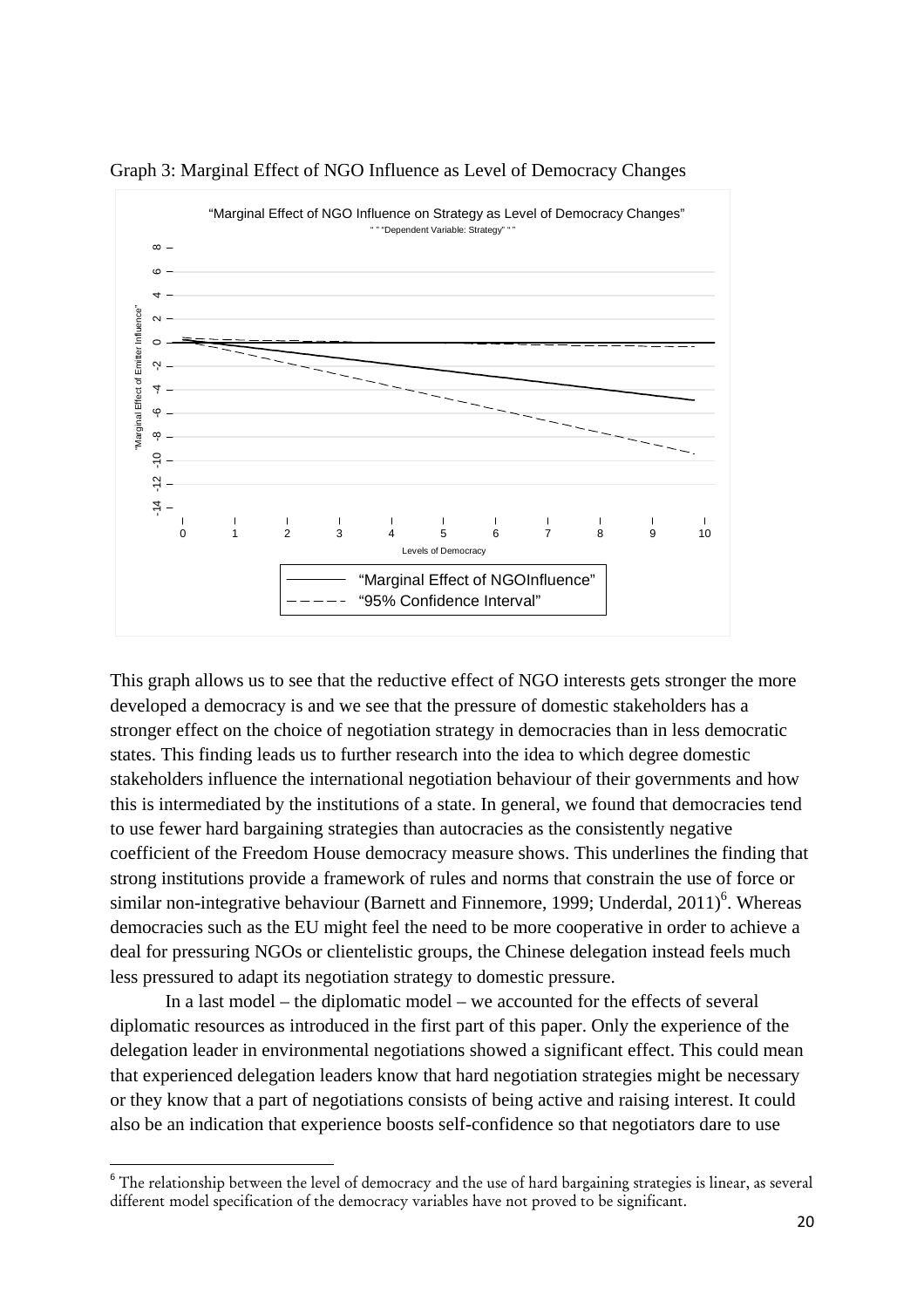

Graph 3: Marginal Effect of NGO Influence as Level of Democracy Changes

This graph allows us to see that the reductive effect of NGO interests gets stronger the more developed a democracy is and we see that the pressure of domestic stakeholders has a stronger effect on the choice of negotiation strategy in democracies than in less democratic states. This finding leads us to further research into the idea to which degree domestic stakeholders influence the international negotiation behaviour of their governments and how this is intermediated by the institutions of a state. In general, we found that democracies tend to use fewer hard bargaining strategies than autocracies as the consistently negative coefficient of the Freedom House democracy measure shows. This underlines the finding that strong institutions provide a framework of rules and norms that constrain the use of force or similar non-integrative behaviour (Barnett and Finnemore, 1999; Underdal,  $2011$ <sup>6</sup>. Whereas democracies such as the EU might feel the need to be more cooperative in order to achieve a deal for pressuring NGOs or clientelistic groups, the Chinese delegation instead feels much less pressured to adapt its negotiation strategy to domestic pressure.

In a last model – the diplomatic model – we accounted for the effects of several diplomatic resources as introduced in the first part of this paper. Only the experience of the delegation leader in environmental negotiations showed a significant effect. This could mean that experienced delegation leaders know that hard negotiation strategies might be necessary or they know that a part of negotiations consists of being active and raising interest. It could also be an indication that experience boosts self-confidence so that negotiators dare to use

<sup>&</sup>lt;sup>6</sup> The relationship between the level of democracy and the use of hard bargaining strategies is linear, as several different model specification of the democracy variables have not proved to be significant.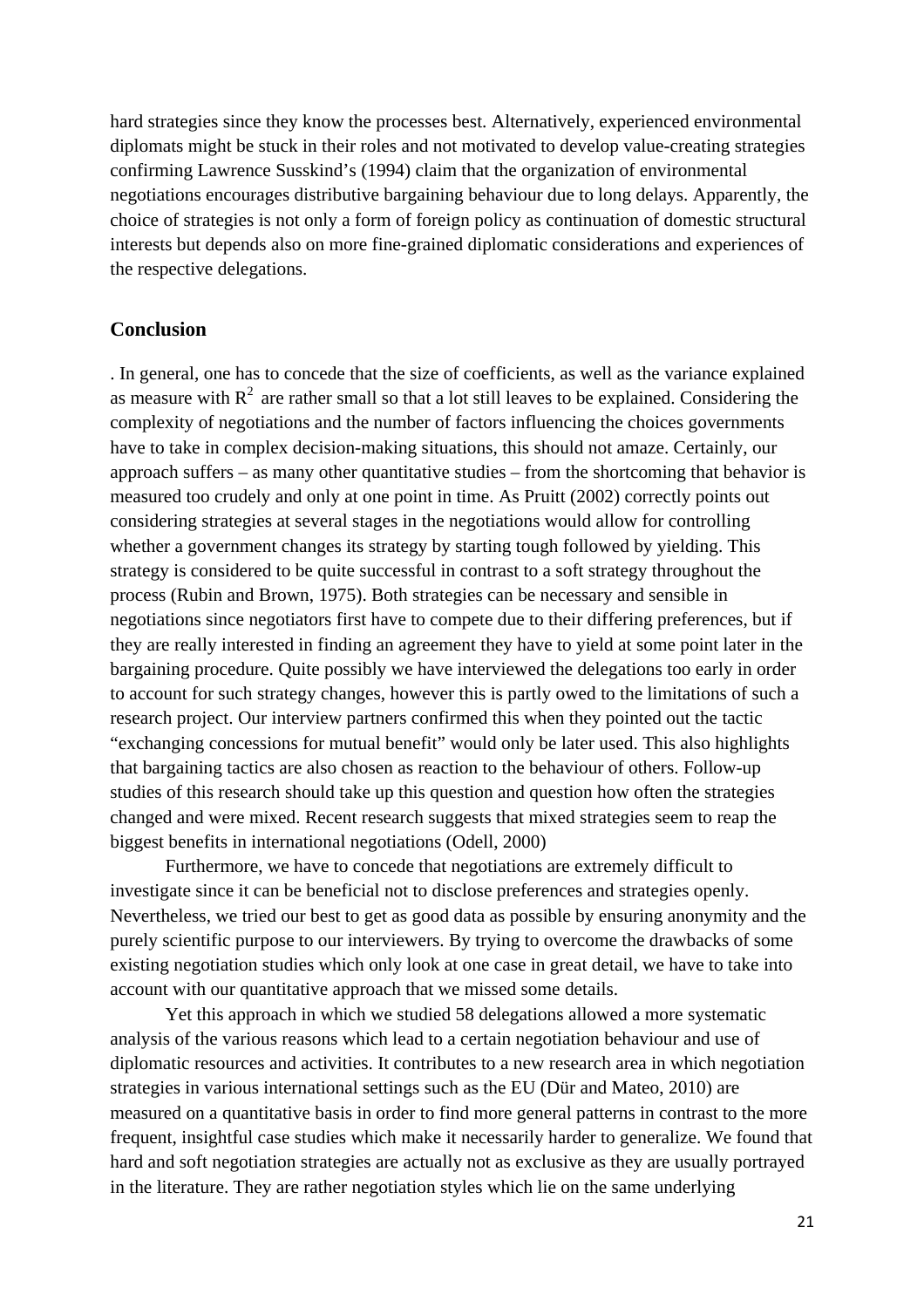hard strategies since they know the processes best. Alternatively, experienced environmental diplomats might be stuck in their roles and not motivated to develop value-creating strategies confirming Lawrence Susskind's (1994) claim that the organization of environmental negotiations encourages distributive bargaining behaviour due to long delays. Apparently, the choice of strategies is not only a form of foreign policy as continuation of domestic structural interests but depends also on more fine-grained diplomatic considerations and experiences of the respective delegations.

### **Conclusion**

. In general, one has to concede that the size of coefficients, as well as the variance explained as measure with  $R<sup>2</sup>$  are rather small so that a lot still leaves to be explained. Considering the complexity of negotiations and the number of factors influencing the choices governments have to take in complex decision-making situations, this should not amaze. Certainly, our approach suffers – as many other quantitative studies – from the shortcoming that behavior is measured too crudely and only at one point in time. As Pruitt (2002) correctly points out considering strategies at several stages in the negotiations would allow for controlling whether a government changes its strategy by starting tough followed by yielding. This strategy is considered to be quite successful in contrast to a soft strategy throughout the process (Rubin and Brown, 1975). Both strategies can be necessary and sensible in negotiations since negotiators first have to compete due to their differing preferences, but if they are really interested in finding an agreement they have to yield at some point later in the bargaining procedure. Quite possibly we have interviewed the delegations too early in order to account for such strategy changes, however this is partly owed to the limitations of such a research project. Our interview partners confirmed this when they pointed out the tactic "exchanging concessions for mutual benefit" would only be later used. This also highlights that bargaining tactics are also chosen as reaction to the behaviour of others. Follow-up studies of this research should take up this question and question how often the strategies changed and were mixed. Recent research suggests that mixed strategies seem to reap the biggest benefits in international negotiations (Odell, 2000)

Furthermore, we have to concede that negotiations are extremely difficult to investigate since it can be beneficial not to disclose preferences and strategies openly. Nevertheless, we tried our best to get as good data as possible by ensuring anonymity and the purely scientific purpose to our interviewers. By trying to overcome the drawbacks of some existing negotiation studies which only look at one case in great detail, we have to take into account with our quantitative approach that we missed some details.

Yet this approach in which we studied 58 delegations allowed a more systematic analysis of the various reasons which lead to a certain negotiation behaviour and use of diplomatic resources and activities. It contributes to a new research area in which negotiation strategies in various international settings such as the EU (Dür and Mateo, 2010) are measured on a quantitative basis in order to find more general patterns in contrast to the more frequent, insightful case studies which make it necessarily harder to generalize. We found that hard and soft negotiation strategies are actually not as exclusive as they are usually portrayed in the literature. They are rather negotiation styles which lie on the same underlying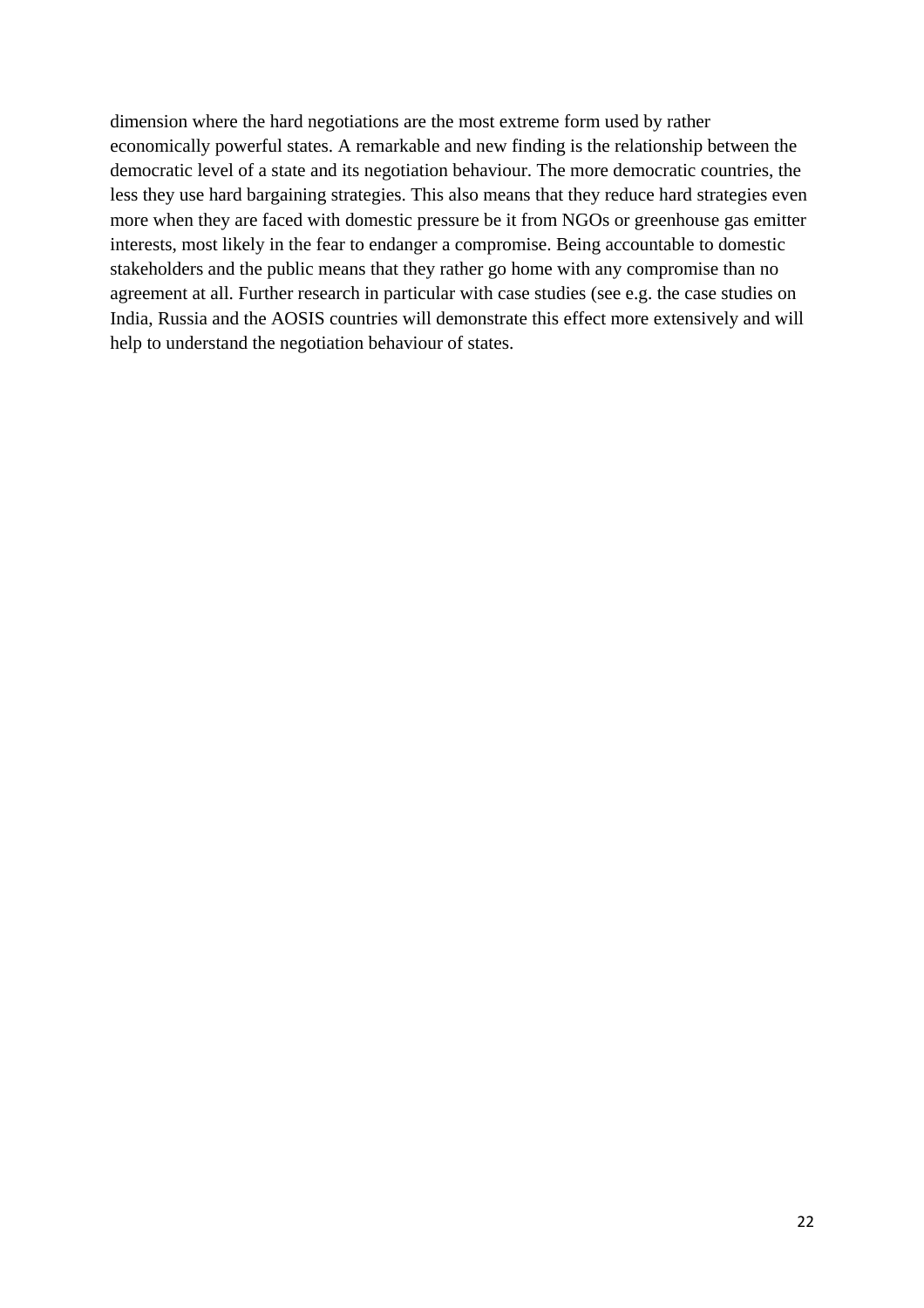dimension where the hard negotiations are the most extreme form used by rather economically powerful states. A remarkable and new finding is the relationship between the democratic level of a state and its negotiation behaviour. The more democratic countries, the less they use hard bargaining strategies. This also means that they reduce hard strategies even more when they are faced with domestic pressure be it from NGOs or greenhouse gas emitter interests, most likely in the fear to endanger a compromise. Being accountable to domestic stakeholders and the public means that they rather go home with any compromise than no agreement at all. Further research in particular with case studies (see e.g. the case studies on India, Russia and the AOSIS countries will demonstrate this effect more extensively and will help to understand the negotiation behaviour of states.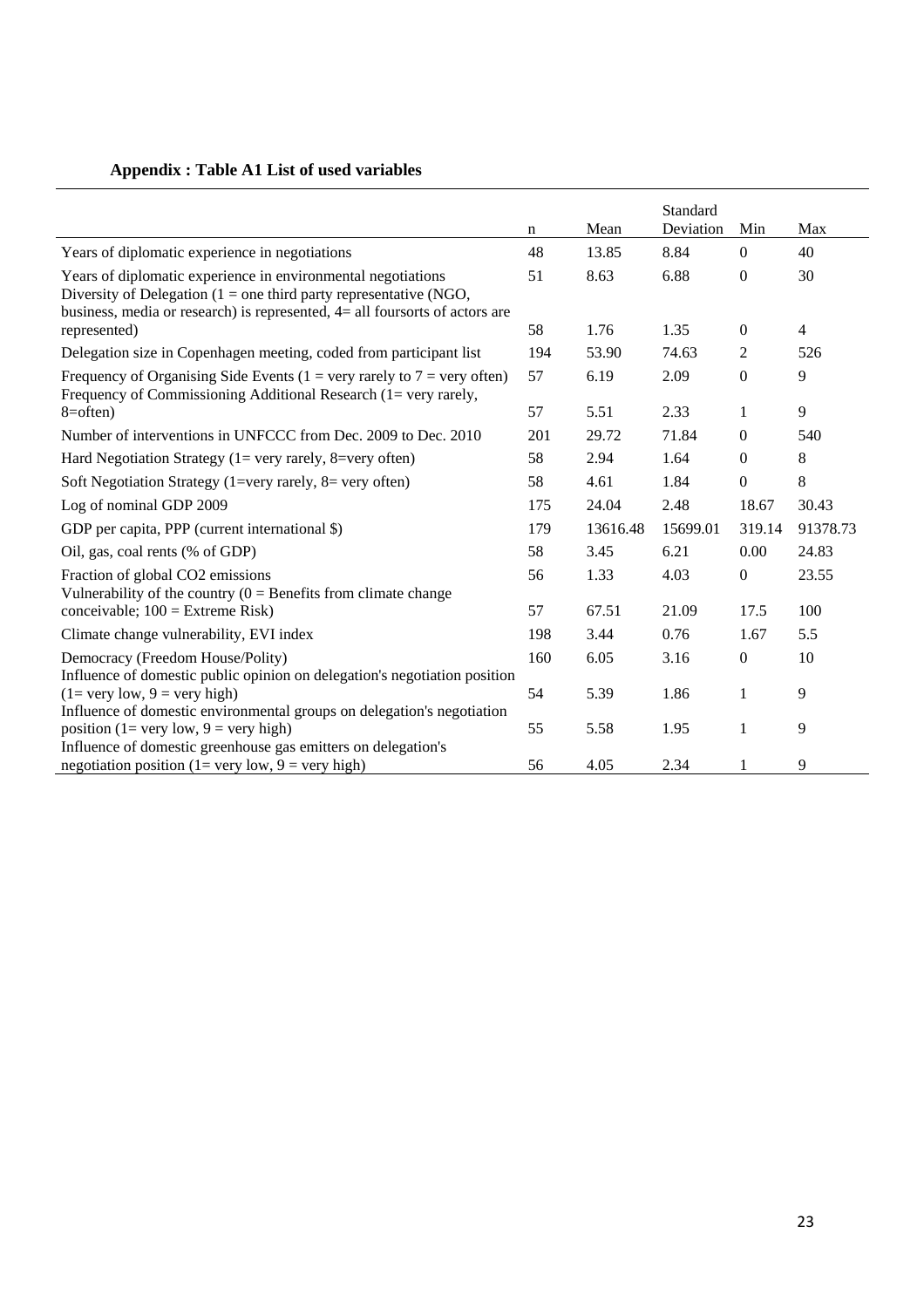# **Appendix : Table A1 List of used variables**

|                                                                                                                                                                                                                       |     |          | Standard  |                  |                |
|-----------------------------------------------------------------------------------------------------------------------------------------------------------------------------------------------------------------------|-----|----------|-----------|------------------|----------------|
|                                                                                                                                                                                                                       | n   | Mean     | Deviation | Min              | Max            |
| Years of diplomatic experience in negotiations                                                                                                                                                                        | 48  | 13.85    | 8.84      | $\mathbf{0}$     | 40             |
| Years of diplomatic experience in environmental negotiations<br>Diversity of Delegation ( $1 =$ one third party representative (NGO,<br>business, media or research) is represented, $4=$ all foursorts of actors are | 51  | 8.63     | 6.88      | $\mathbf{0}$     | 30             |
| represented)                                                                                                                                                                                                          | 58  | 1.76     | 1.35      | $\mathbf{0}$     | $\overline{4}$ |
| Delegation size in Copenhagen meeting, coded from participant list                                                                                                                                                    | 194 | 53.90    | 74.63     | 2                | 526            |
| Frequency of Organising Side Events (1 = very rarely to $7$ = very often)<br>Frequency of Commissioning Additional Research (1= very rarely,                                                                          | 57  | 6.19     | 2.09      | $\mathbf{0}$     | 9              |
| $8 = often$ )                                                                                                                                                                                                         | 57  | 5.51     | 2.33      | $\mathbf{1}$     | 9              |
| Number of interventions in UNFCCC from Dec. 2009 to Dec. 2010                                                                                                                                                         | 201 | 29.72    | 71.84     | $\mathbf{0}$     | 540            |
| Hard Negotiation Strategy ( $1 =$ very rarely, $8 =$ very often)                                                                                                                                                      | 58  | 2.94     | 1.64      | $\boldsymbol{0}$ | 8              |
| Soft Negotiation Strategy (1=very rarely, $8$ = very often)                                                                                                                                                           | 58  | 4.61     | 1.84      | $\boldsymbol{0}$ | 8              |
| Log of nominal GDP 2009                                                                                                                                                                                               | 175 | 24.04    | 2.48      | 18.67            | 30.43          |
| GDP per capita, PPP (current international \$)                                                                                                                                                                        | 179 | 13616.48 | 15699.01  | 319.14           | 91378.73       |
| Oil, gas, coal rents (% of GDP)                                                                                                                                                                                       | 58  | 3.45     | 6.21      | 0.00             | 24.83          |
| Fraction of global CO2 emissions<br>Vulnerability of the country $(0 = \text{Benefits from climate change})$                                                                                                          | 56  | 1.33     | 4.03      | $\boldsymbol{0}$ | 23.55          |
| conceivable; $100 =$ Extreme Risk)                                                                                                                                                                                    | 57  | 67.51    | 21.09     | 17.5             | 100            |
| Climate change vulnerability, EVI index                                                                                                                                                                               | 198 | 3.44     | 0.76      | 1.67             | 5.5            |
| Democracy (Freedom House/Polity)<br>Influence of domestic public opinion on delegation's negotiation position                                                                                                         | 160 | 6.05     | 3.16      | $\boldsymbol{0}$ | 10             |
| $(1=$ very low, $9=$ very high)<br>Influence of domestic environmental groups on delegation's negotiation                                                                                                             | 54  | 5.39     | 1.86      | $\mathbf{1}$     | 9              |
| position (1= very low, 9 = very high)<br>Influence of domestic greenhouse gas emitters on delegation's                                                                                                                | 55  | 5.58     | 1.95      | 1                | 9              |
| negotiation position (1= very low, 9 = very high)                                                                                                                                                                     | 56  | 4.05     | 2.34      | 1                | 9              |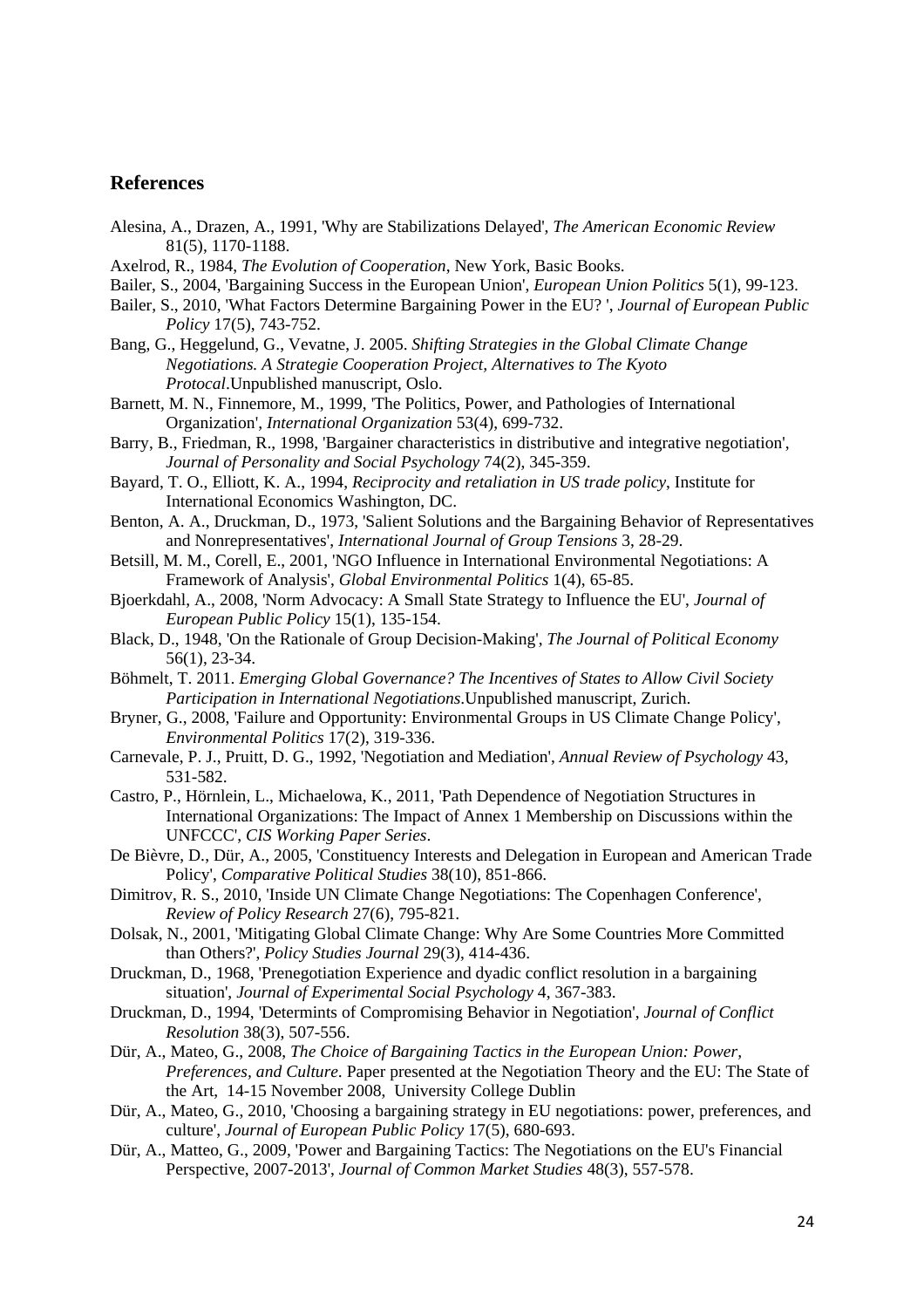### **References**

- Alesina, A., Drazen, A., 1991, 'Why are Stabilizations Delayed', *The American Economic Review*  81(5), 1170-1188.
- Axelrod, R., 1984, *The Evolution of Cooperation*, New York, Basic Books.
- Bailer, S., 2004, 'Bargaining Success in the European Union', *European Union Politics* 5(1), 99-123.
- Bailer, S., 2010, 'What Factors Determine Bargaining Power in the EU? ', *Journal of European Public Policy* 17(5), 743-752.
- Bang, G., Heggelund, G., Vevatne, J. 2005. *Shifting Strategies in the Global Climate Change Negotiations. A Strategie Cooperation Project, Alternatives to The Kyoto Protocal*.Unpublished manuscript, Oslo.
- Barnett, M. N., Finnemore, M., 1999, 'The Politics, Power, and Pathologies of International Organization', *International Organization* 53(4), 699-732.
- Barry, B., Friedman, R., 1998, 'Bargainer characteristics in distributive and integrative negotiation', *Journal of Personality and Social Psychology* 74(2), 345-359.
- Bayard, T. O., Elliott, K. A., 1994, *Reciprocity and retaliation in US trade policy*, Institute for International Economics Washington, DC.
- Benton, A. A., Druckman, D., 1973, 'Salient Solutions and the Bargaining Behavior of Representatives and Nonrepresentatives', *International Journal of Group Tensions* 3, 28-29.
- Betsill, M. M., Corell, E., 2001, 'NGO Influence in International Environmental Negotiations: A Framework of Analysis', *Global Environmental Politics* 1(4), 65-85.
- Bjoerkdahl, A., 2008, 'Norm Advocacy: A Small State Strategy to Influence the EU', *Journal of European Public Policy* 15(1), 135-154.
- Black, D., 1948, 'On the Rationale of Group Decision-Making', *The Journal of Political Economy*  56(1), 23-34.
- Böhmelt, T. 2011. *Emerging Global Governance? The Incentives of States to Allow Civil Society Participation in International Negotiations*.Unpublished manuscript, Zurich.
- Bryner, G., 2008, 'Failure and Opportunity: Environmental Groups in US Climate Change Policy', *Environmental Politics* 17(2), 319-336.
- Carnevale, P. J., Pruitt, D. G., 1992, 'Negotiation and Mediation', *Annual Review of Psychology* 43, 531-582.
- Castro, P., Hörnlein, L., Michaelowa, K., 2011, 'Path Dependence of Negotiation Structures in International Organizations: The Impact of Annex 1 Membership on Discussions within the UNFCCC', *CIS Working Paper Series*.
- De Bièvre, D., Dür, A., 2005, 'Constituency Interests and Delegation in European and American Trade Policy', *Comparative Political Studies* 38(10), 851-866.
- Dimitrov, R. S., 2010, 'Inside UN Climate Change Negotiations: The Copenhagen Conference', *Review of Policy Research* 27(6), 795-821.
- Dolsak, N., 2001, 'Mitigating Global Climate Change: Why Are Some Countries More Committed than Others?', *Policy Studies Journal* 29(3), 414-436.
- Druckman, D., 1968, 'Prenegotiation Experience and dyadic conflict resolution in a bargaining situation', *Journal of Experimental Social Psychology* 4, 367-383.
- Druckman, D., 1994, 'Determints of Compromising Behavior in Negotiation', *Journal of Conflict Resolution* 38(3), 507-556.
- Dür, A., Mateo, G., 2008, *The Choice of Bargaining Tactics in the European Union: Power, Preferences, and Culture*. Paper presented at the Negotiation Theory and the EU: The State of the Art, 14-15 November 2008, University College Dublin
- Dür, A., Mateo, G., 2010, 'Choosing a bargaining strategy in EU negotiations: power, preferences, and culture', *Journal of European Public Policy* 17(5), 680-693.
- Dür, A., Matteo, G., 2009, 'Power and Bargaining Tactics: The Negotiations on the EU's Financial Perspective, 2007-2013', *Journal of Common Market Studies* 48(3), 557-578.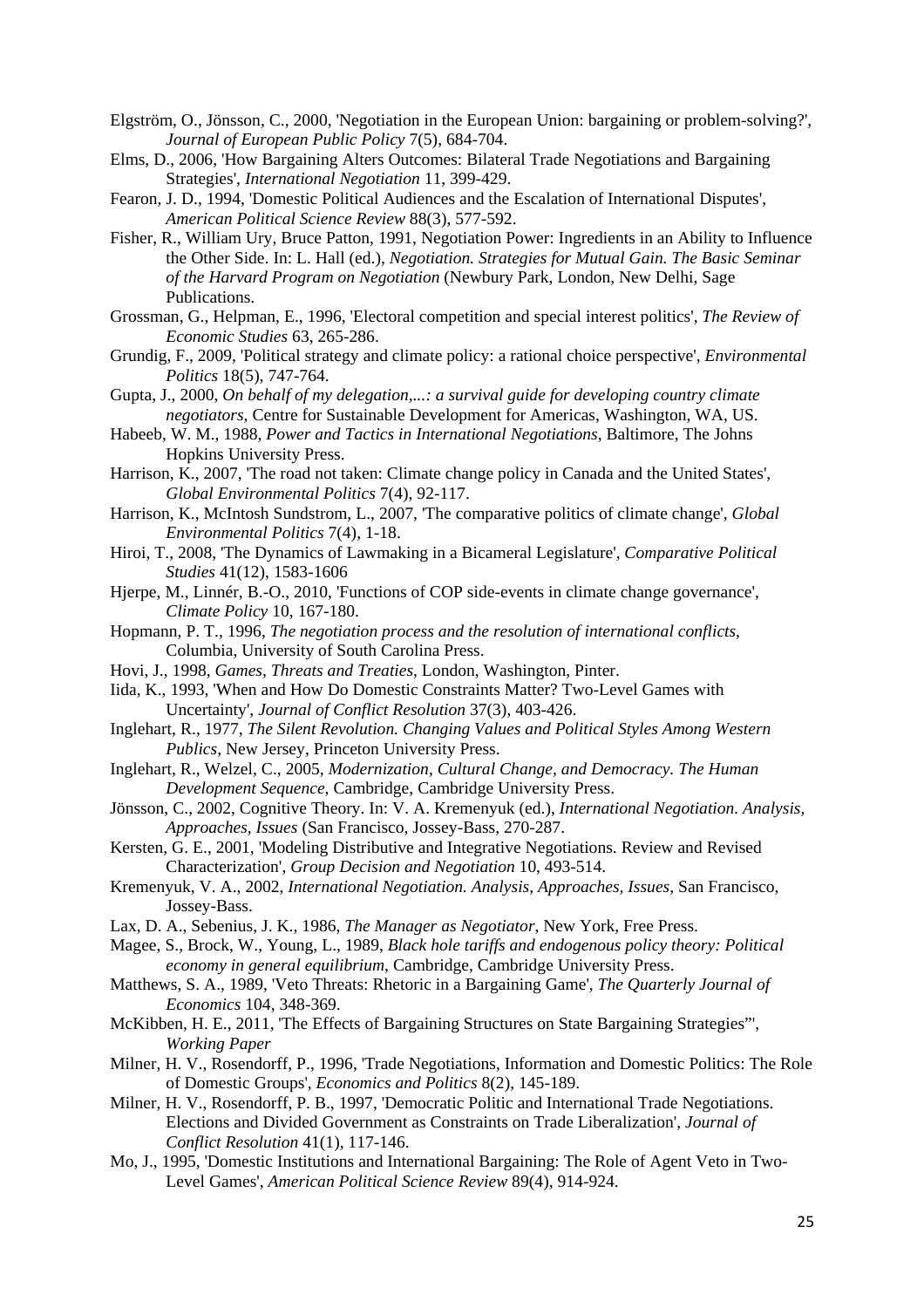- Elgström, O., Jönsson, C., 2000, 'Negotiation in the European Union: bargaining or problem-solving?', *Journal of European Public Policy* 7(5), 684-704.
- Elms, D., 2006, 'How Bargaining Alters Outcomes: Bilateral Trade Negotiations and Bargaining Strategies', *International Negotiation* 11, 399-429.
- Fearon, J. D., 1994, 'Domestic Political Audiences and the Escalation of International Disputes', *American Political Science Review* 88(3), 577-592.
- Fisher, R., William Ury, Bruce Patton, 1991, Negotiation Power: Ingredients in an Ability to Influence the Other Side. In: L. Hall (ed.), *Negotiation. Strategies for Mutual Gain. The Basic Seminar of the Harvard Program on Negotiation* (Newbury Park, London, New Delhi, Sage Publications.
- Grossman, G., Helpman, E., 1996, 'Electoral competition and special interest politics', *The Review of Economic Studies* 63, 265-286.
- Grundig, F., 2009, 'Political strategy and climate policy: a rational choice perspective', *Environmental Politics* 18(5), 747-764.
- Gupta, J., 2000, *On behalf of my delegation,...: a survival guide for developing country climate negotiators*, Centre for Sustainable Development for Americas, Washington, WA, US.
- Habeeb, W. M., 1988, *Power and Tactics in International Negotiations*, Baltimore, The Johns Hopkins University Press.
- Harrison, K., 2007, 'The road not taken: Climate change policy in Canada and the United States', *Global Environmental Politics* 7(4), 92-117.
- Harrison, K., McIntosh Sundstrom, L., 2007, 'The comparative politics of climate change', *Global Environmental Politics* 7(4), 1-18.
- Hiroi, T., 2008, 'The Dynamics of Lawmaking in a Bicameral Legislature', *Comparative Political Studies* 41(12), 1583-1606
- Hjerpe, M., Linnér, B.-O., 2010, 'Functions of COP side-events in climate change governance', *Climate Policy* 10, 167-180.
- Hopmann, P. T., 1996, *The negotiation process and the resolution of international conflicts*, Columbia, University of South Carolina Press.
- Hovi, J., 1998, *Games, Threats and Treaties*, London, Washington, Pinter.
- Iida, K., 1993, 'When and How Do Domestic Constraints Matter? Two-Level Games with Uncertainty', *Journal of Conflict Resolution* 37(3), 403-426.
- Inglehart, R., 1977, *The Silent Revolution. Changing Values and Political Styles Among Western Publics*, New Jersey, Princeton University Press.
- Inglehart, R., Welzel, C., 2005, *Modernization, Cultural Change, and Democracy. The Human Development Sequence*, Cambridge, Cambridge University Press.
- Jönsson, C., 2002, Cognitive Theory. In: V. A. Kremenyuk (ed.), *International Negotiation. Analysis, Approaches, Issues* (San Francisco, Jossey-Bass, 270-287.
- Kersten, G. E., 2001, 'Modeling Distributive and Integrative Negotiations. Review and Revised Characterization', *Group Decision and Negotiation* 10, 493-514.
- Kremenyuk, V. A., 2002, *International Negotiation. Analysis, Approaches, Issues*, San Francisco, Jossey-Bass.
- Lax, D. A., Sebenius, J. K., 1986, *The Manager as Negotiator*, New York, Free Press.
- Magee, S., Brock, W., Young, L., 1989, *Black hole tariffs and endogenous policy theory: Political economy in general equilibrium*, Cambridge, Cambridge University Press.
- Matthews, S. A., 1989, 'Veto Threats: Rhetoric in a Bargaining Game', *The Quarterly Journal of Economics* 104, 348-369.
- McKibben, H. E., 2011, 'The Effects of Bargaining Structures on State Bargaining Strategies"', *Working Paper*
- Milner, H. V., Rosendorff, P., 1996, 'Trade Negotiations, Information and Domestic Politics: The Role of Domestic Groups', *Economics and Politics* 8(2), 145-189.
- Milner, H. V., Rosendorff, P. B., 1997, 'Democratic Politic and International Trade Negotiations. Elections and Divided Government as Constraints on Trade Liberalization', *Journal of Conflict Resolution* 41(1), 117-146.
- Mo, J., 1995, 'Domestic Institutions and International Bargaining: The Role of Agent Veto in Two-Level Games', *American Political Science Review* 89(4), 914-924.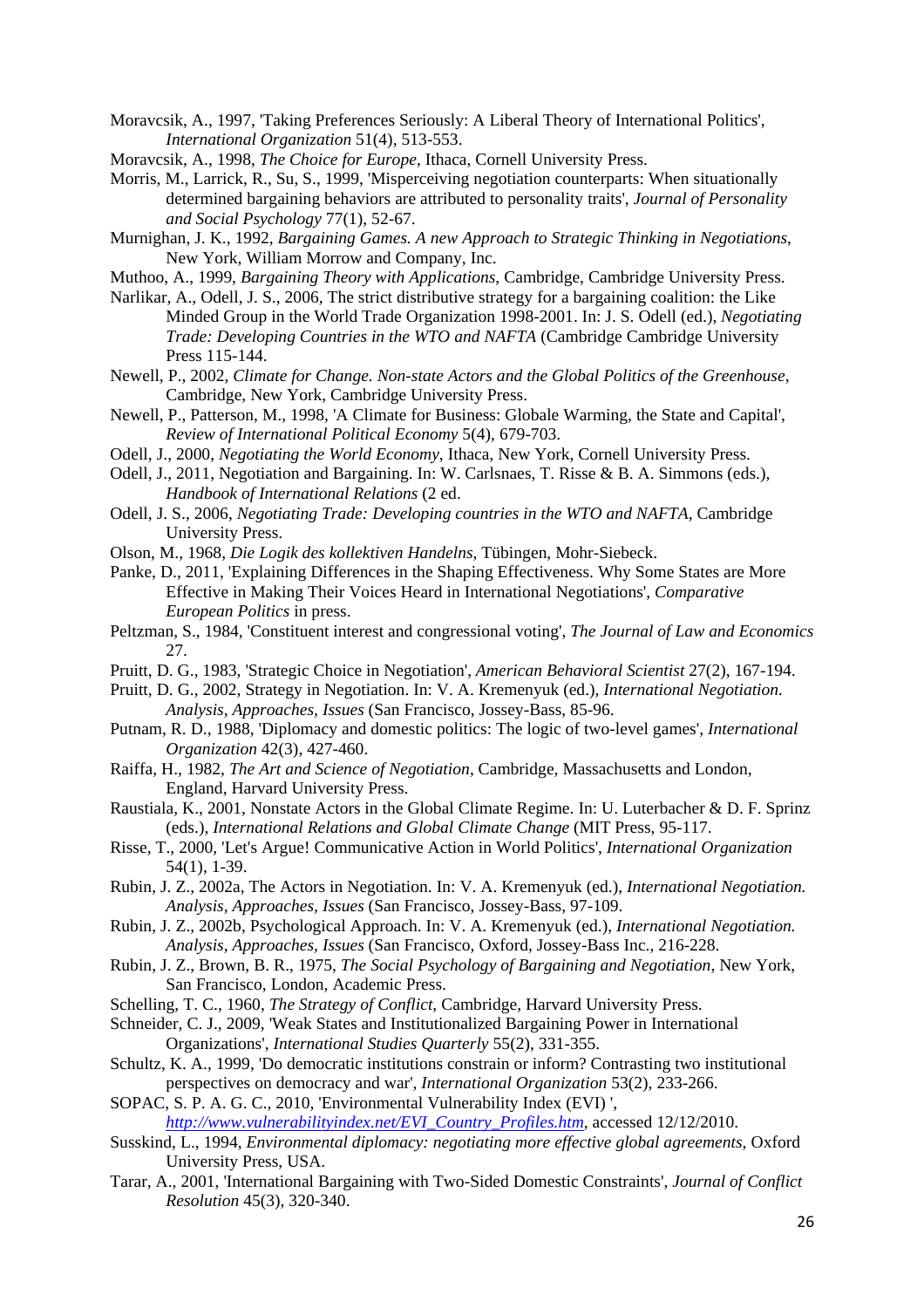- Moravcsik, A., 1997, 'Taking Preferences Seriously: A Liberal Theory of International Politics', *International Organization* 51(4), 513-553.
- Moravcsik, A., 1998, *The Choice for Europe*, Ithaca, Cornell University Press.
- Morris, M., Larrick, R., Su, S., 1999, 'Misperceiving negotiation counterparts: When situationally determined bargaining behaviors are attributed to personality traits', *Journal of Personality and Social Psychology* 77(1), 52-67.
- Murnighan, J. K., 1992, *Bargaining Games. A new Approach to Strategic Thinking in Negotiations*, New York, William Morrow and Company, Inc.
- Muthoo, A., 1999, *Bargaining Theory with Applications*, Cambridge, Cambridge University Press.
- Narlikar, A., Odell, J. S., 2006, The strict distributive strategy for a bargaining coalition: the Like Minded Group in the World Trade Organization 1998-2001. In: J. S. Odell (ed.), *Negotiating Trade: Developing Countries in the WTO and NAFTA* (Cambridge Cambridge University Press 115-144.
- Newell, P., 2002, *Climate for Change. Non-state Actors and the Global Politics of the Greenhouse*, Cambridge, New York, Cambridge University Press.
- Newell, P., Patterson, M., 1998, 'A Climate for Business: Globale Warming, the State and Capital', *Review of International Political Economy* 5(4), 679-703.
- Odell, J., 2000, *Negotiating the World Economy*, Ithaca, New York, Cornell University Press.
- Odell, J., 2011, Negotiation and Bargaining. In: W. Carlsnaes, T. Risse & B. A. Simmons (eds.), *Handbook of International Relations* (2 ed.
- Odell, J. S., 2006, *Negotiating Trade: Developing countries in the WTO and NAFTA*, Cambridge University Press.
- Olson, M., 1968, *Die Logik des kollektiven Handelns*, Tübingen, Mohr-Siebeck.
- Panke, D., 2011, 'Explaining Differences in the Shaping Effectiveness. Why Some States are More Effective in Making Their Voices Heard in International Negotiations', *Comparative European Politics* in press.
- Peltzman, S., 1984, 'Constituent interest and congressional voting', *The Journal of Law and Economics*  27.
- Pruitt, D. G., 1983, 'Strategic Choice in Negotiation', *American Behavioral Scientist* 27(2), 167-194.
- Pruitt, D. G., 2002, Strategy in Negotiation. In: V. A. Kremenyuk (ed.), *International Negotiation. Analysis, Approaches, Issues* (San Francisco, Jossey-Bass, 85-96.
- Putnam, R. D., 1988, 'Diplomacy and domestic politics: The logic of two-level games', *International Organization* 42(3), 427-460.
- Raiffa, H., 1982, *The Art and Science of Negotiation*, Cambridge, Massachusetts and London, England, Harvard University Press.
- Raustiala, K., 2001, Nonstate Actors in the Global Climate Regime. In: U. Luterbacher & D. F. Sprinz (eds.), *International Relations and Global Climate Change* (MIT Press, 95-117.
- Risse, T., 2000, 'Let's Argue! Communicative Action in World Politics', *International Organization*  54(1), 1-39.
- Rubin, J. Z., 2002a, The Actors in Negotiation. In: V. A. Kremenyuk (ed.), *International Negotiation. Analysis, Approaches, Issues* (San Francisco, Jossey-Bass, 97-109.
- Rubin, J. Z., 2002b, Psychological Approach. In: V. A. Kremenyuk (ed.), *International Negotiation. Analysis, Approaches, Issues* (San Francisco, Oxford, Jossey-Bass Inc., 216-228.
- Rubin, J. Z., Brown, B. R., 1975, *The Social Psychology of Bargaining and Negotiation*, New York, San Francisco, London, Academic Press.
- Schelling, T. C., 1960, *The Strategy of Conflict*, Cambridge, Harvard University Press.
- Schneider, C. J., 2009, 'Weak States and Institutionalized Bargaining Power in International Organizations', *International Studies Quarterly* 55(2), 331-355.
- Schultz, K. A., 1999, 'Do democratic institutions constrain or inform? Contrasting two institutional perspectives on democracy and war', *International Organization* 53(2), 233-266.
- SOPAC, S. P. A. G. C., 2010, 'Environmental Vulnerability Index (EVI) ', *http://www.vulnerabilityindex.net/EVI\_Country\_Profiles.htm*, accessed 12/12/2010.
- Susskind, L., 1994, *Environmental diplomacy: negotiating more effective global agreements*, Oxford University Press, USA.
- Tarar, A., 2001, 'International Bargaining with Two-Sided Domestic Constraints', *Journal of Conflict Resolution* 45(3), 320-340.